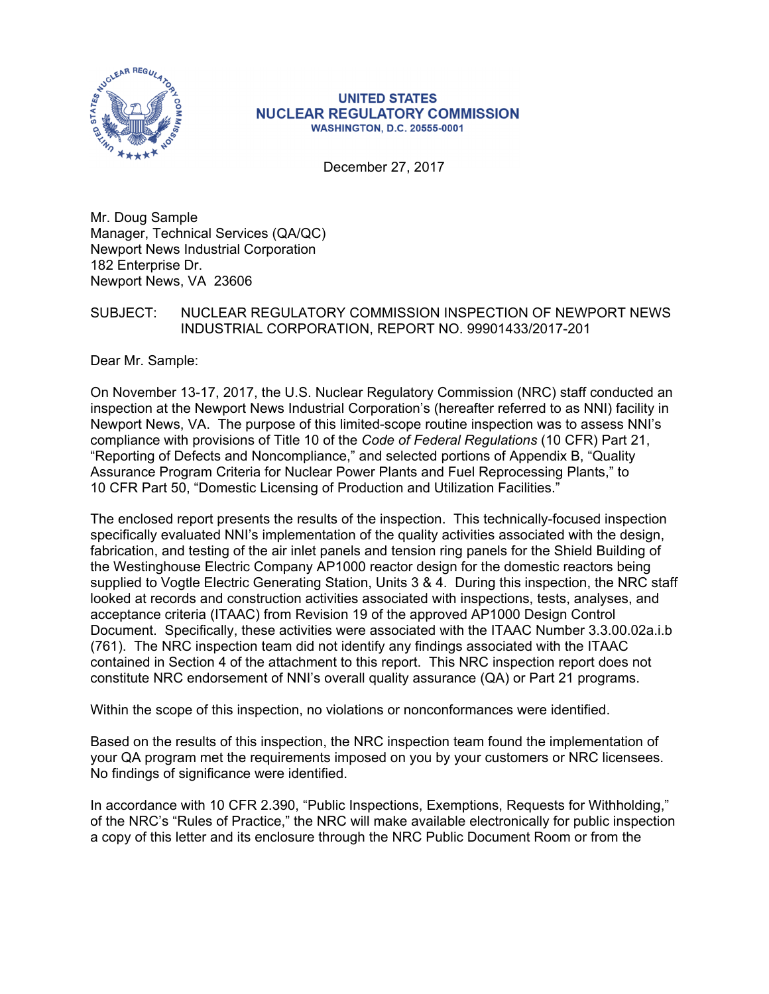

#### **UNITED STATES NUCLEAR REGULATORY COMMISSION WASHINGTON, D.C. 20555-0001**

December 27, 2017

Mr. Doug Sample Manager, Technical Services (QA/QC) Newport News Industrial Corporation 182 Enterprise Dr. Newport News, VA 23606

## SUBJECT: NUCLEAR REGULATORY COMMISSION INSPECTION OF NEWPORT NEWS INDUSTRIAL CORPORATION, REPORT NO. 99901433/2017-201

Dear Mr. Sample:

On November 13-17, 2017, the U.S. Nuclear Regulatory Commission (NRC) staff conducted an inspection at the Newport News Industrial Corporation's (hereafter referred to as NNI) facility in Newport News, VA. The purpose of this limited-scope routine inspection was to assess NNI's compliance with provisions of Title 10 of the *Code of Federal Regulations* (10 CFR) Part 21, "Reporting of Defects and Noncompliance," and selected portions of Appendix B, "Quality Assurance Program Criteria for Nuclear Power Plants and Fuel Reprocessing Plants," to 10 CFR Part 50, "Domestic Licensing of Production and Utilization Facilities."

The enclosed report presents the results of the inspection. This technically-focused inspection specifically evaluated NNI's implementation of the quality activities associated with the design, fabrication, and testing of the air inlet panels and tension ring panels for the Shield Building of the Westinghouse Electric Company AP1000 reactor design for the domestic reactors being supplied to Vogtle Electric Generating Station, Units 3 & 4. During this inspection, the NRC staff looked at records and construction activities associated with inspections, tests, analyses, and acceptance criteria (ITAAC) from Revision 19 of the approved AP1000 Design Control Document. Specifically, these activities were associated with the ITAAC Number 3.3.00.02a.i.b (761). The NRC inspection team did not identify any findings associated with the ITAAC contained in Section 4 of the attachment to this report. This NRC inspection report does not constitute NRC endorsement of NNI's overall quality assurance (QA) or Part 21 programs.

Within the scope of this inspection, no violations or nonconformances were identified.

Based on the results of this inspection, the NRC inspection team found the implementation of your QA program met the requirements imposed on you by your customers or NRC licensees. No findings of significance were identified.

In accordance with 10 CFR 2.390, "Public Inspections, Exemptions, Requests for Withholding," of the NRC's "Rules of Practice," the NRC will make available electronically for public inspection a copy of this letter and its enclosure through the NRC Public Document Room or from the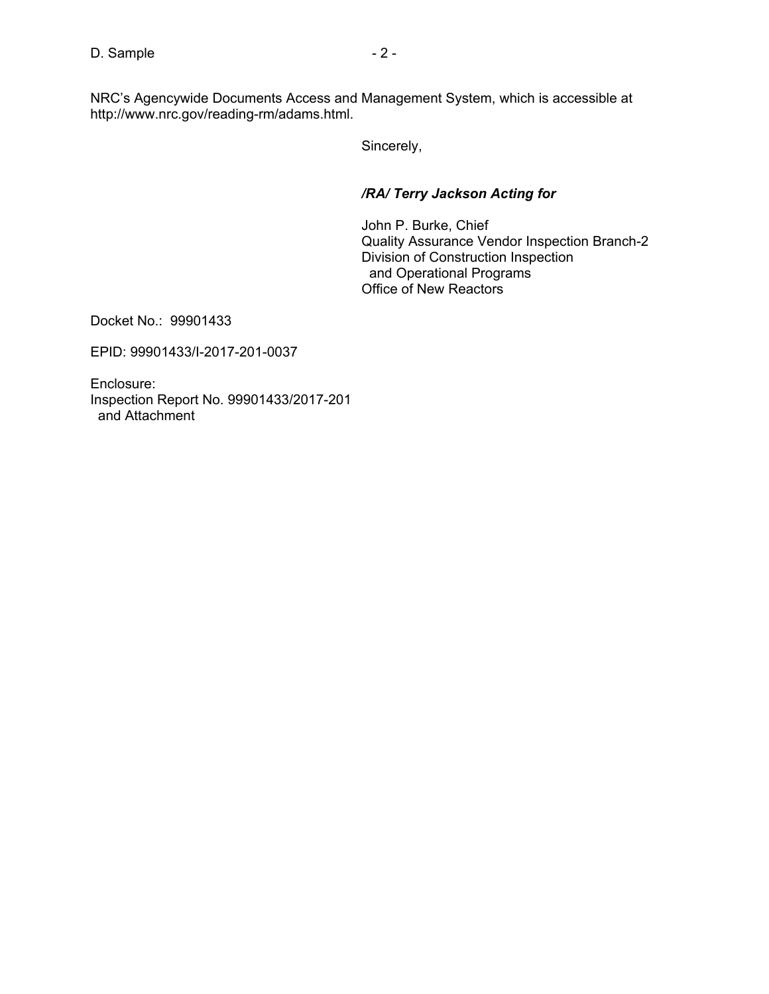Sincerely,

## */RA/ Terry Jackson Acting for*

John P. Burke, Chief Quality Assurance Vendor Inspection Branch-2 Division of Construction Inspection and Operational Programs Office of New Reactors

Docket No.: 99901433

EPID: 99901433/I-2017-201-0037

Enclosure: Inspection Report No. 99901433/2017-201 and Attachment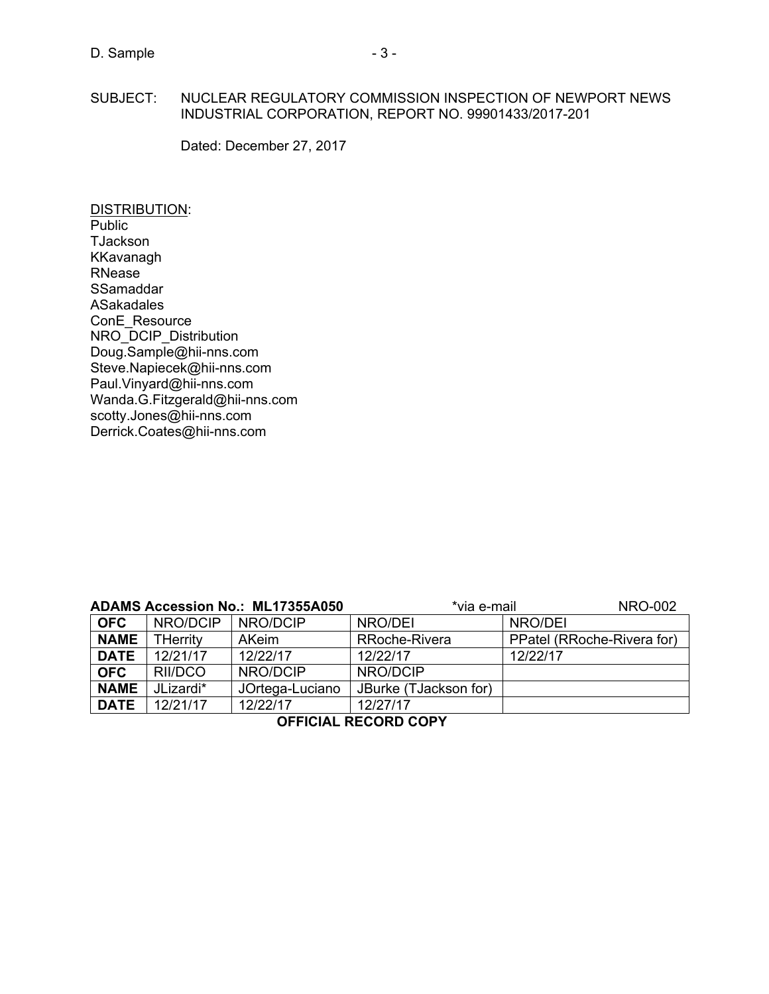#### D. Sample - 3 -

## SUBJECT: NUCLEAR REGULATORY COMMISSION INSPECTION OF NEWPORT NEWS INDUSTRIAL CORPORATION, REPORT NO. 99901433/2017-201

Dated: December 27, 2017

DISTRIBUTION: Public TJackson KKavanagh RNease **SSamaddar** ASakadales ConE\_Resource NRO\_DCIP\_Distribution Doug.Sample@hii-nns.com Steve.Napiecek@hii-nns.com Paul.Vinyard@hii-nns.com Wanda.G.Fitzgerald@hii-nns.com scotty.Jones@hii-nns.com Derrick.Coates@hii-nns.com

| <b>ADAMS Accession No.: ML17355A050</b> |                 |                 | *via e-mail           | <b>NRO-002</b>             |  |
|-----------------------------------------|-----------------|-----------------|-----------------------|----------------------------|--|
| <b>OFC</b>                              | NRO/DCIP        | NRO/DCIP        | NRO/DEI               | NRO/DEI                    |  |
| <b>NAME</b>                             | <b>THerrity</b> | AKeim           | RRoche-Rivera         | PPatel (RRoche-Rivera for) |  |
| <b>DATE</b>                             | 12/21/17        | 12/22/17        | 12/22/17              | 12/22/17                   |  |
| <b>OFC</b>                              | RII/DCO         | NRO/DCIP        | NRO/DCIP              |                            |  |
| <b>NAME</b>                             | JLizardi*       | JOrtega-Luciano | JBurke (TJackson for) |                            |  |
| <b>DATE</b>                             | 12/21/17        | 12/22/17        | 12/27/17              |                            |  |
| <b>OFFICIAL RECORD COPY</b>             |                 |                 |                       |                            |  |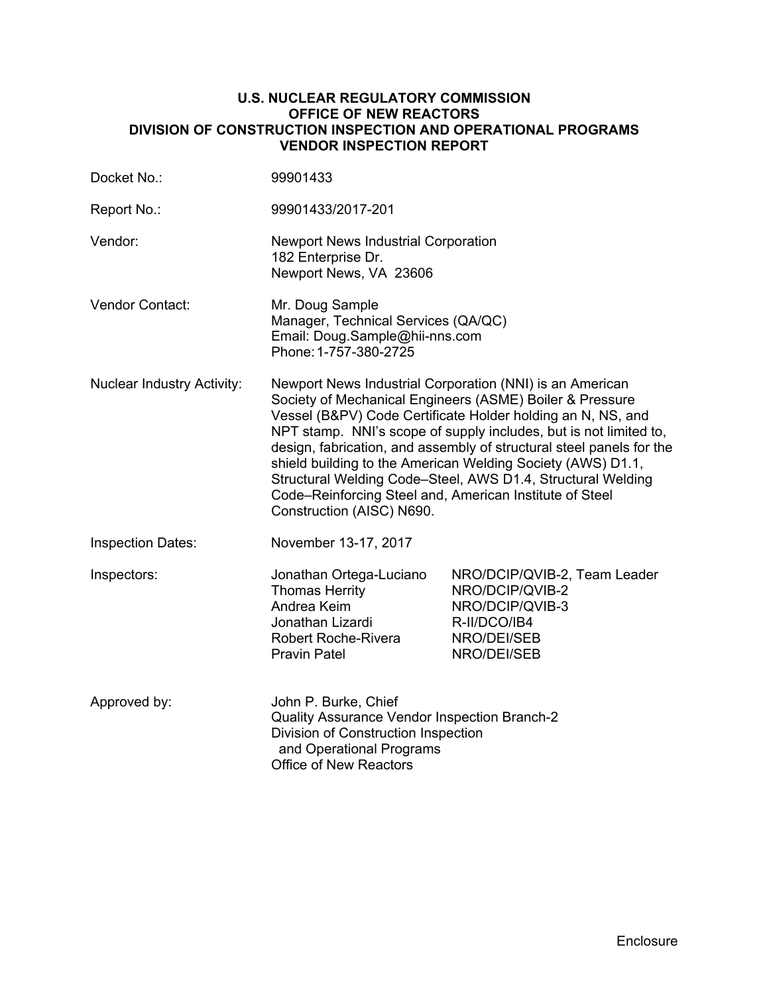#### **U.S. NUCLEAR REGULATORY COMMISSION OFFICE OF NEW REACTORS DIVISION OF CONSTRUCTION INSPECTION AND OPERATIONAL PROGRAMS VENDOR INSPECTION REPORT**

| Docket No.:                       | 99901433                                                                                                                                                                                                                                                                                                                                                                                                                                                                                                                                               |                                                                                                                  |  |
|-----------------------------------|--------------------------------------------------------------------------------------------------------------------------------------------------------------------------------------------------------------------------------------------------------------------------------------------------------------------------------------------------------------------------------------------------------------------------------------------------------------------------------------------------------------------------------------------------------|------------------------------------------------------------------------------------------------------------------|--|
| Report No.:                       | 99901433/2017-201                                                                                                                                                                                                                                                                                                                                                                                                                                                                                                                                      |                                                                                                                  |  |
| Vendor:                           | <b>Newport News Industrial Corporation</b><br>182 Enterprise Dr.<br>Newport News, VA 23606                                                                                                                                                                                                                                                                                                                                                                                                                                                             |                                                                                                                  |  |
| Vendor Contact:                   | Mr. Doug Sample<br>Manager, Technical Services (QA/QC)<br>Email: Doug.Sample@hii-nns.com<br>Phone: 1-757-380-2725                                                                                                                                                                                                                                                                                                                                                                                                                                      |                                                                                                                  |  |
| <b>Nuclear Industry Activity:</b> | Newport News Industrial Corporation (NNI) is an American<br>Society of Mechanical Engineers (ASME) Boiler & Pressure<br>Vessel (B&PV) Code Certificate Holder holding an N, NS, and<br>NPT stamp. NNI's scope of supply includes, but is not limited to,<br>design, fabrication, and assembly of structural steel panels for the<br>shield building to the American Welding Society (AWS) D1.1,<br>Structural Welding Code-Steel, AWS D1.4, Structural Welding<br>Code-Reinforcing Steel and, American Institute of Steel<br>Construction (AISC) N690. |                                                                                                                  |  |
| <b>Inspection Dates:</b>          | November 13-17, 2017                                                                                                                                                                                                                                                                                                                                                                                                                                                                                                                                   |                                                                                                                  |  |
| Inspectors:                       | Jonathan Ortega-Luciano<br><b>Thomas Herrity</b><br>Andrea Keim<br>Jonathan Lizardi<br>Robert Roche-Rivera<br><b>Pravin Patel</b>                                                                                                                                                                                                                                                                                                                                                                                                                      | NRO/DCIP/QVIB-2, Team Leader<br>NRO/DCIP/QVIB-2<br>NRO/DCIP/QVIB-3<br>R-II/DCO/IB4<br>NRO/DEI/SEB<br>NRO/DEI/SEB |  |
| Approved by:                      | John P. Burke, Chief<br>Quality Assurance Vendor Inspection Branch-2<br>Division of Construction Inspection<br>and Operational Programs<br><b>Office of New Reactors</b>                                                                                                                                                                                                                                                                                                                                                                               |                                                                                                                  |  |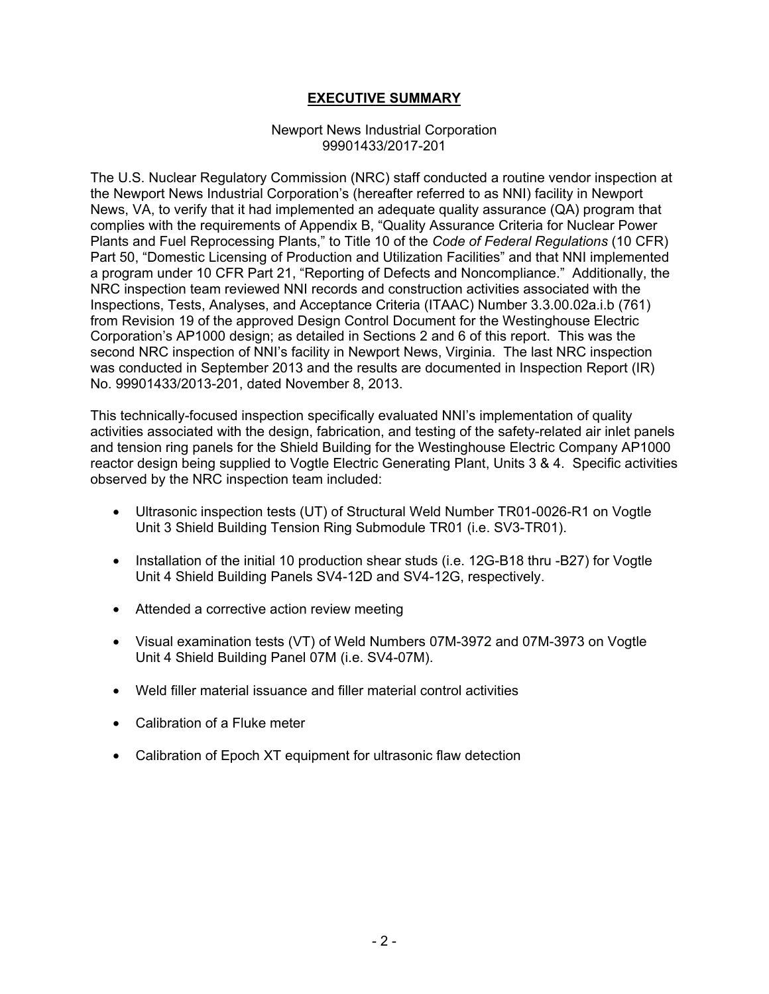## **EXECUTIVE SUMMARY**

#### Newport News Industrial Corporation 99901433/2017-201

The U.S. Nuclear Regulatory Commission (NRC) staff conducted a routine vendor inspection at the Newport News Industrial Corporation's (hereafter referred to as NNI) facility in Newport News, VA, to verify that it had implemented an adequate quality assurance (QA) program that complies with the requirements of Appendix B, "Quality Assurance Criteria for Nuclear Power Plants and Fuel Reprocessing Plants," to Title 10 of the *Code of Federal Regulations* (10 CFR) Part 50, "Domestic Licensing of Production and Utilization Facilities" and that NNI implemented a program under 10 CFR Part 21, "Reporting of Defects and Noncompliance." Additionally, the NRC inspection team reviewed NNI records and construction activities associated with the Inspections, Tests, Analyses, and Acceptance Criteria (ITAAC) Number 3.3.00.02a.i.b (761) from Revision 19 of the approved Design Control Document for the Westinghouse Electric Corporation's AP1000 design; as detailed in Sections 2 and 6 of this report. This was the second NRC inspection of NNI's facility in Newport News, Virginia. The last NRC inspection was conducted in September 2013 and the results are documented in Inspection Report (IR) No. 99901433/2013-201, dated November 8, 2013.

This technically-focused inspection specifically evaluated NNI's implementation of quality activities associated with the design, fabrication, and testing of the safety-related air inlet panels and tension ring panels for the Shield Building for the Westinghouse Electric Company AP1000 reactor design being supplied to Vogtle Electric Generating Plant, Units 3 & 4. Specific activities observed by the NRC inspection team included:

- Ultrasonic inspection tests (UT) of Structural Weld Number TR01-0026-R1 on Vogtle Unit 3 Shield Building Tension Ring Submodule TR01 (i.e. SV3-TR01).
- Installation of the initial 10 production shear studs (i.e. 12G-B18 thru -B27) for Vogtle Unit 4 Shield Building Panels SV4-12D and SV4-12G, respectively.
- Attended a corrective action review meeting
- Visual examination tests (VT) of Weld Numbers 07M-3972 and 07M-3973 on Vogtle Unit 4 Shield Building Panel 07M (i.e. SV4-07M).
- Weld filler material issuance and filler material control activities
- Calibration of a Fluke meter
- Calibration of Epoch XT equipment for ultrasonic flaw detection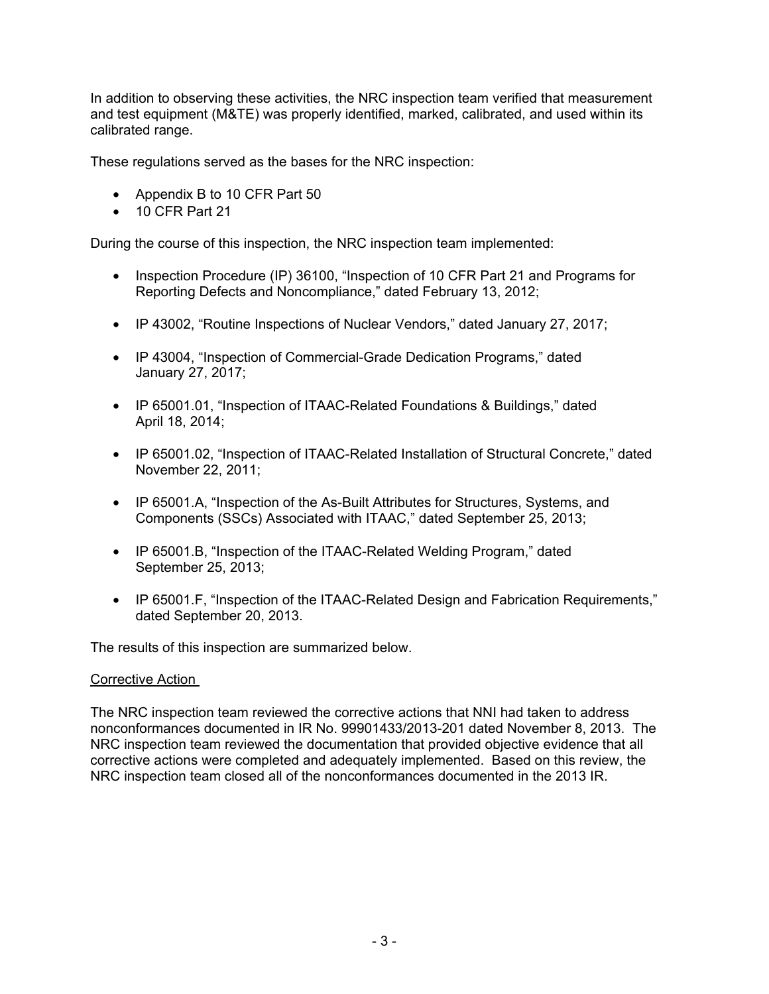In addition to observing these activities, the NRC inspection team verified that measurement and test equipment (M&TE) was properly identified, marked, calibrated, and used within its calibrated range.

These regulations served as the bases for the NRC inspection:

- Appendix B to 10 CFR Part 50
- 10 CFR Part 21

During the course of this inspection, the NRC inspection team implemented:

- Inspection Procedure (IP) 36100, "Inspection of 10 CFR Part 21 and Programs for Reporting Defects and Noncompliance," dated February 13, 2012;
- IP 43002, "Routine Inspections of Nuclear Vendors," dated January 27, 2017;
- IP 43004, "Inspection of Commercial-Grade Dedication Programs," dated January 27, 2017;
- IP 65001.01, "Inspection of ITAAC-Related Foundations & Buildings," dated April 18, 2014;
- IP 65001.02, "Inspection of ITAAC-Related Installation of Structural Concrete," dated November 22, 2011;
- IP 65001.A, "Inspection of the As-Built Attributes for Structures, Systems, and Components (SSCs) Associated with ITAAC," dated September 25, 2013;
- IP 65001.B, "Inspection of the ITAAC-Related Welding Program," dated September 25, 2013;
- IP 65001.F, "Inspection of the ITAAC-Related Design and Fabrication Requirements," dated September 20, 2013.

The results of this inspection are summarized below.

## Corrective Action

The NRC inspection team reviewed the corrective actions that NNI had taken to address nonconformances documented in IR No. 99901433/2013-201 dated November 8, 2013. The NRC inspection team reviewed the documentation that provided objective evidence that all corrective actions were completed and adequately implemented. Based on this review, the NRC inspection team closed all of the nonconformances documented in the 2013 IR.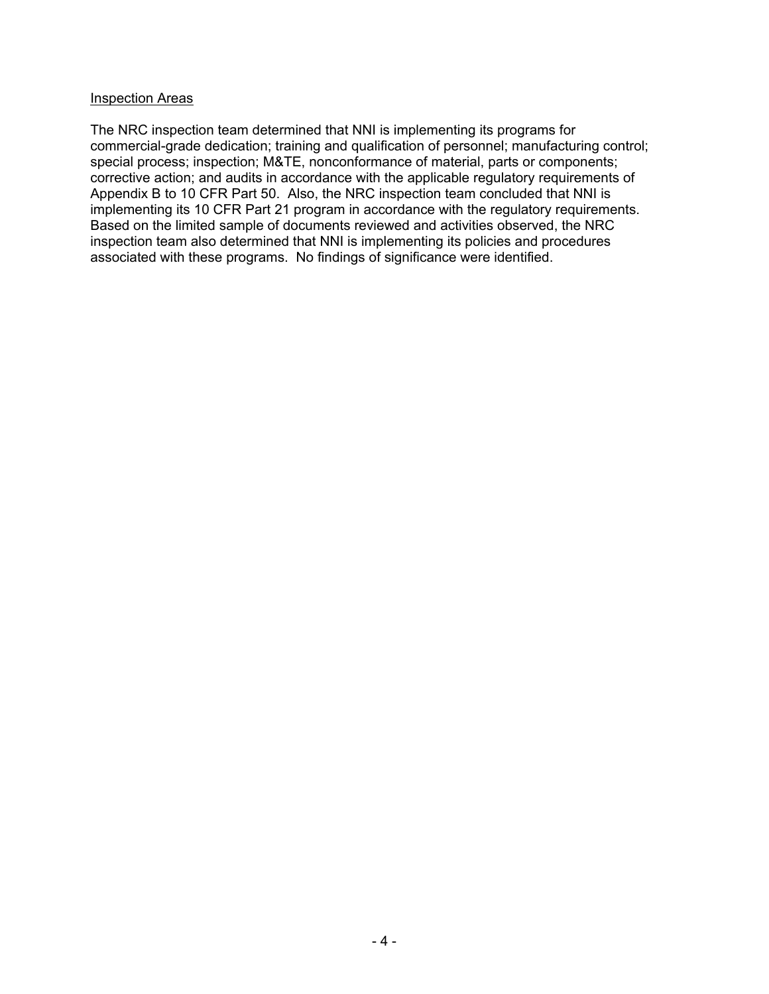#### Inspection Areas

The NRC inspection team determined that NNI is implementing its programs for commercial-grade dedication; training and qualification of personnel; manufacturing control; special process; inspection; M&TE, nonconformance of material, parts or components; corrective action; and audits in accordance with the applicable regulatory requirements of Appendix B to 10 CFR Part 50. Also, the NRC inspection team concluded that NNI is implementing its 10 CFR Part 21 program in accordance with the regulatory requirements. Based on the limited sample of documents reviewed and activities observed, the NRC inspection team also determined that NNI is implementing its policies and procedures associated with these programs. No findings of significance were identified.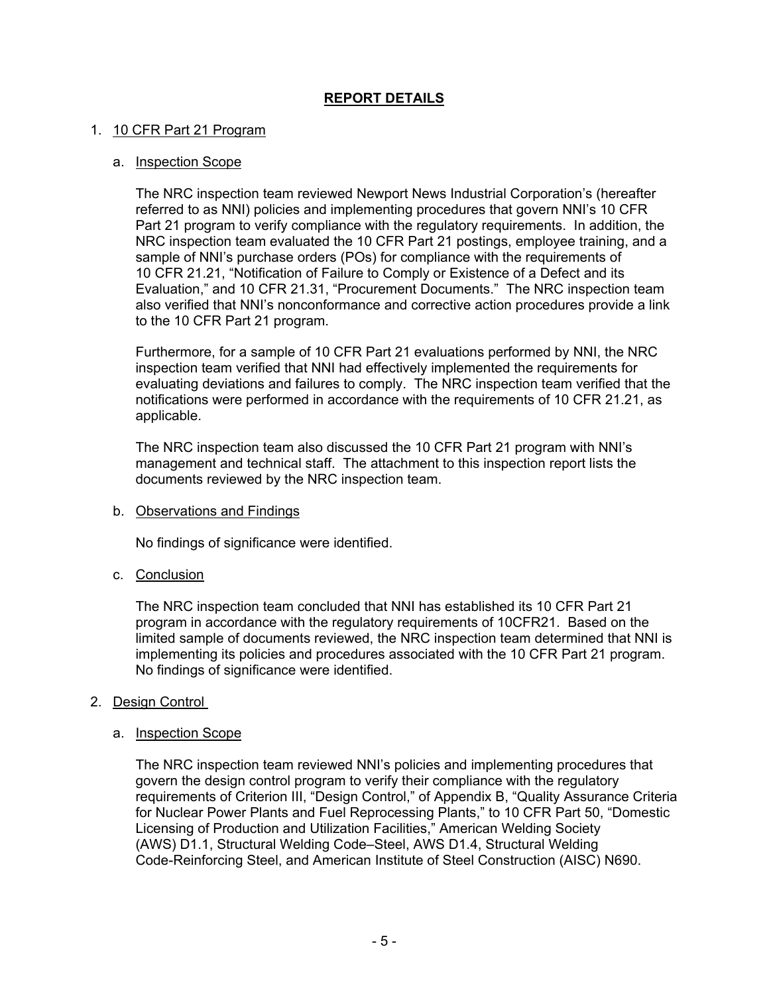## **REPORT DETAILS**

#### 1. 10 CFR Part 21 Program

#### a. Inspection Scope

The NRC inspection team reviewed Newport News Industrial Corporation's (hereafter referred to as NNI) policies and implementing procedures that govern NNI's 10 CFR Part 21 program to verify compliance with the regulatory requirements. In addition, the NRC inspection team evaluated the 10 CFR Part 21 postings, employee training, and a sample of NNI's purchase orders (POs) for compliance with the requirements of 10 CFR 21.21, "Notification of Failure to Comply or Existence of a Defect and its Evaluation," and 10 CFR 21.31, "Procurement Documents." The NRC inspection team also verified that NNI's nonconformance and corrective action procedures provide a link to the 10 CFR Part 21 program.

Furthermore, for a sample of 10 CFR Part 21 evaluations performed by NNI, the NRC inspection team verified that NNI had effectively implemented the requirements for evaluating deviations and failures to comply. The NRC inspection team verified that the notifications were performed in accordance with the requirements of 10 CFR 21.21, as applicable.

The NRC inspection team also discussed the 10 CFR Part 21 program with NNI's management and technical staff. The attachment to this inspection report lists the documents reviewed by the NRC inspection team.

#### b. Observations and Findings

No findings of significance were identified.

## c. Conclusion

The NRC inspection team concluded that NNI has established its 10 CFR Part 21 program in accordance with the regulatory requirements of 10CFR21. Based on the limited sample of documents reviewed, the NRC inspection team determined that NNI is implementing its policies and procedures associated with the 10 CFR Part 21 program. No findings of significance were identified.

#### 2. Design Control

#### a. Inspection Scope

The NRC inspection team reviewed NNI's policies and implementing procedures that govern the design control program to verify their compliance with the regulatory requirements of Criterion III, "Design Control," of Appendix B, "Quality Assurance Criteria for Nuclear Power Plants and Fuel Reprocessing Plants," to 10 CFR Part 50, "Domestic Licensing of Production and Utilization Facilities," American Welding Society (AWS) D1.1, Structural Welding Code–Steel, AWS D1.4, Structural Welding Code-Reinforcing Steel, and American Institute of Steel Construction (AISC) N690.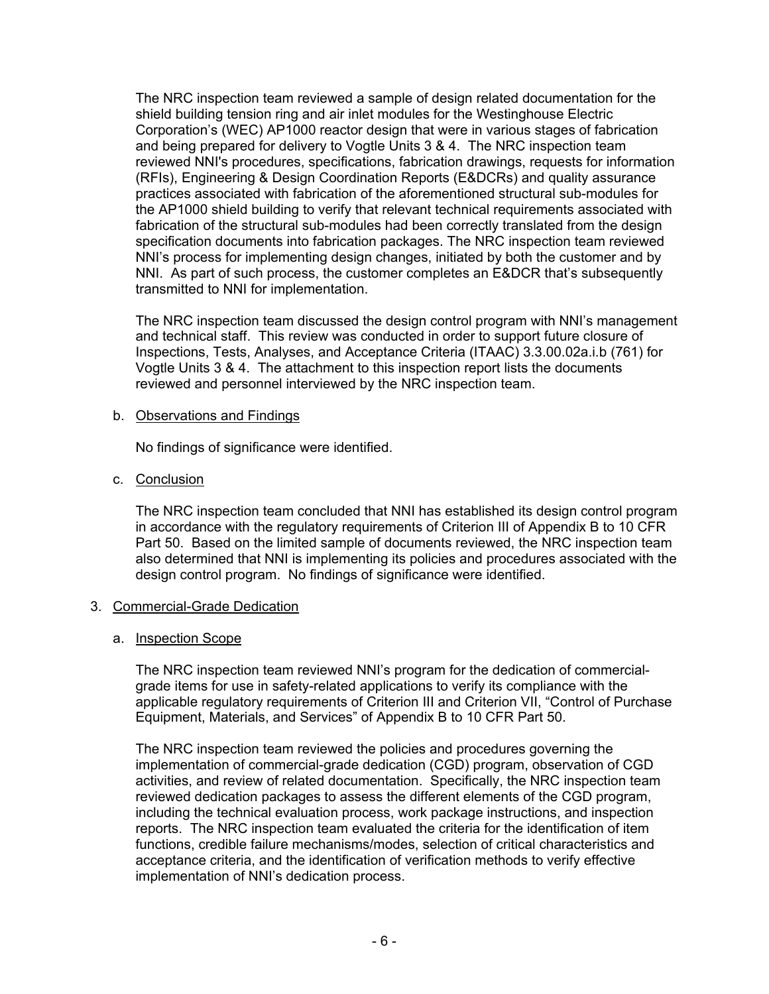The NRC inspection team reviewed a sample of design related documentation for the shield building tension ring and air inlet modules for the Westinghouse Electric Corporation's (WEC) AP1000 reactor design that were in various stages of fabrication and being prepared for delivery to Vogtle Units 3 & 4. The NRC inspection team reviewed NNI's procedures, specifications, fabrication drawings, requests for information (RFIs), Engineering & Design Coordination Reports (E&DCRs) and quality assurance practices associated with fabrication of the aforementioned structural sub-modules for the AP1000 shield building to verify that relevant technical requirements associated with fabrication of the structural sub-modules had been correctly translated from the design specification documents into fabrication packages. The NRC inspection team reviewed NNI's process for implementing design changes, initiated by both the customer and by NNI. As part of such process, the customer completes an E&DCR that's subsequently transmitted to NNI for implementation.

The NRC inspection team discussed the design control program with NNI's management and technical staff. This review was conducted in order to support future closure of Inspections, Tests, Analyses, and Acceptance Criteria (ITAAC) 3.3.00.02a.i.b (761) for Vogtle Units 3 & 4. The attachment to this inspection report lists the documents reviewed and personnel interviewed by the NRC inspection team.

## b. Observations and Findings

No findings of significance were identified.

c. Conclusion

The NRC inspection team concluded that NNI has established its design control program in accordance with the regulatory requirements of Criterion III of Appendix B to 10 CFR Part 50. Based on the limited sample of documents reviewed, the NRC inspection team also determined that NNI is implementing its policies and procedures associated with the design control program. No findings of significance were identified.

## 3. Commercial-Grade Dedication

## a. Inspection Scope

The NRC inspection team reviewed NNI's program for the dedication of commercialgrade items for use in safety-related applications to verify its compliance with the applicable regulatory requirements of Criterion III and Criterion VII, "Control of Purchase Equipment, Materials, and Services" of Appendix B to 10 CFR Part 50.

The NRC inspection team reviewed the policies and procedures governing the implementation of commercial-grade dedication (CGD) program, observation of CGD activities, and review of related documentation. Specifically, the NRC inspection team reviewed dedication packages to assess the different elements of the CGD program, including the technical evaluation process, work package instructions, and inspection reports. The NRC inspection team evaluated the criteria for the identification of item functions, credible failure mechanisms/modes, selection of critical characteristics and acceptance criteria, and the identification of verification methods to verify effective implementation of NNI's dedication process.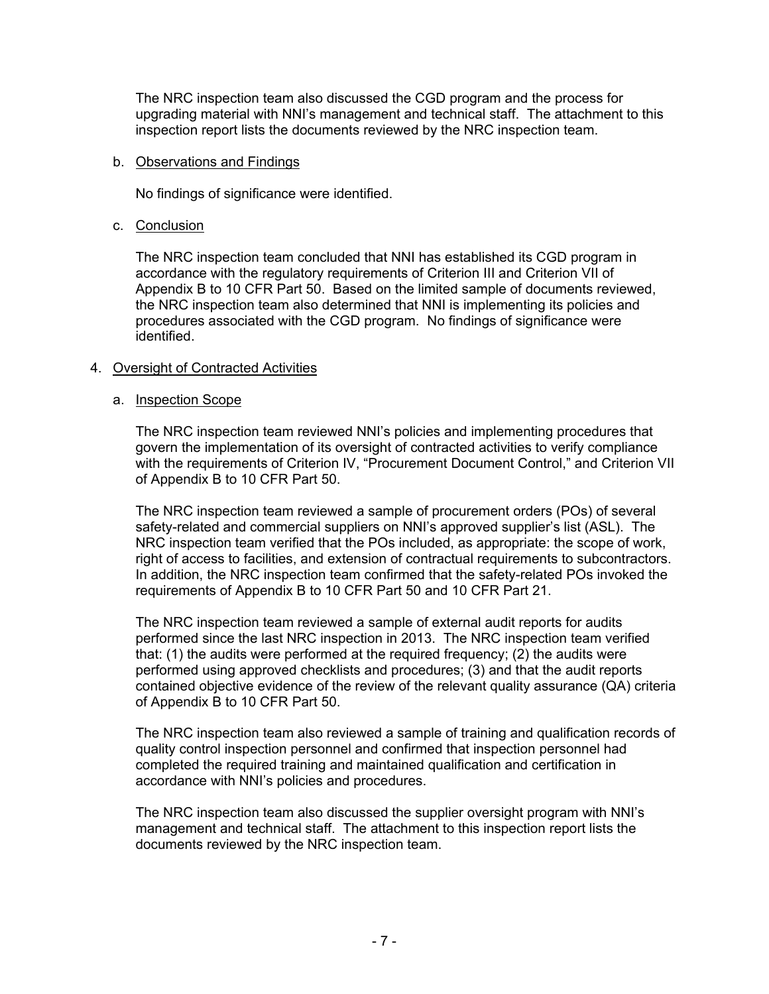The NRC inspection team also discussed the CGD program and the process for upgrading material with NNI's management and technical staff. The attachment to this inspection report lists the documents reviewed by the NRC inspection team.

#### b. Observations and Findings

No findings of significance were identified.

## c. Conclusion

The NRC inspection team concluded that NNI has established its CGD program in accordance with the regulatory requirements of Criterion III and Criterion VII of Appendix B to 10 CFR Part 50. Based on the limited sample of documents reviewed, the NRC inspection team also determined that NNI is implementing its policies and procedures associated with the CGD program. No findings of significance were identified.

## 4. Oversight of Contracted Activities

## a. Inspection Scope

The NRC inspection team reviewed NNI's policies and implementing procedures that govern the implementation of its oversight of contracted activities to verify compliance with the requirements of Criterion IV, "Procurement Document Control," and Criterion VII of Appendix B to 10 CFR Part 50.

The NRC inspection team reviewed a sample of procurement orders (POs) of several safety-related and commercial suppliers on NNI's approved supplier's list (ASL). The NRC inspection team verified that the POs included, as appropriate: the scope of work, right of access to facilities, and extension of contractual requirements to subcontractors. In addition, the NRC inspection team confirmed that the safety-related POs invoked the requirements of Appendix B to 10 CFR Part 50 and 10 CFR Part 21.

The NRC inspection team reviewed a sample of external audit reports for audits performed since the last NRC inspection in 2013. The NRC inspection team verified that: (1) the audits were performed at the required frequency; (2) the audits were performed using approved checklists and procedures; (3) and that the audit reports contained objective evidence of the review of the relevant quality assurance (QA) criteria of Appendix B to 10 CFR Part 50.

The NRC inspection team also reviewed a sample of training and qualification records of quality control inspection personnel and confirmed that inspection personnel had completed the required training and maintained qualification and certification in accordance with NNI's policies and procedures.

The NRC inspection team also discussed the supplier oversight program with NNI's management and technical staff. The attachment to this inspection report lists the documents reviewed by the NRC inspection team.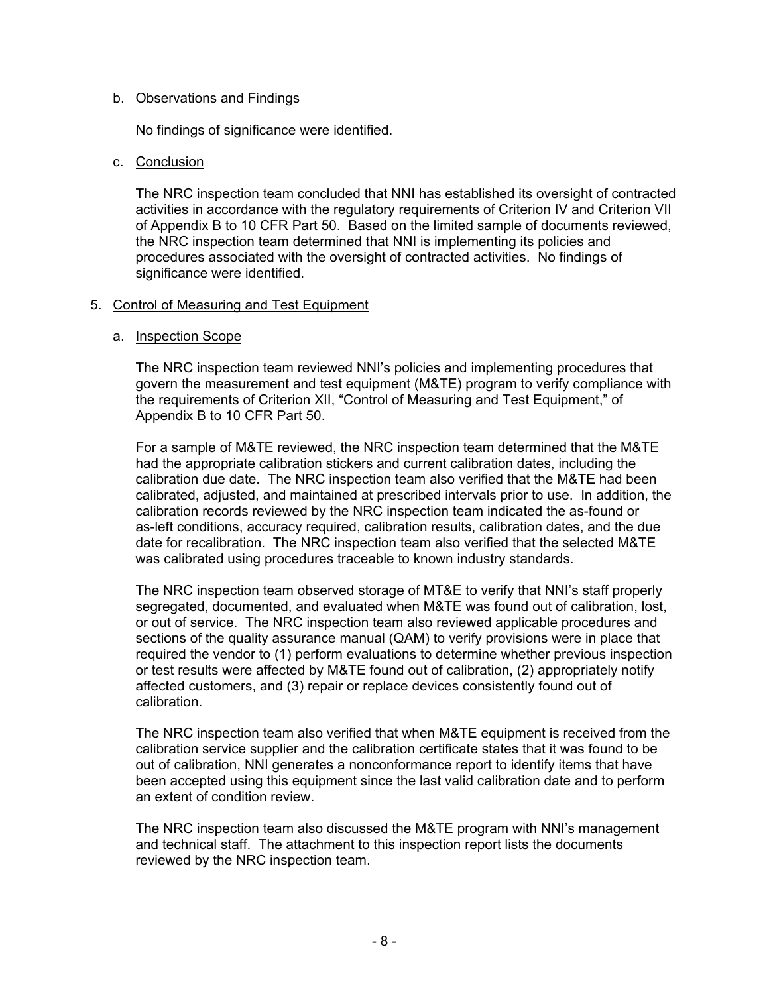#### b. Observations and Findings

No findings of significance were identified.

#### c. Conclusion

The NRC inspection team concluded that NNI has established its oversight of contracted activities in accordance with the regulatory requirements of Criterion IV and Criterion VII of Appendix B to 10 CFR Part 50. Based on the limited sample of documents reviewed, the NRC inspection team determined that NNI is implementing its policies and procedures associated with the oversight of contracted activities. No findings of significance were identified.

#### 5. Control of Measuring and Test Equipment

#### a. Inspection Scope

The NRC inspection team reviewed NNI's policies and implementing procedures that govern the measurement and test equipment (M&TE) program to verify compliance with the requirements of Criterion XII, "Control of Measuring and Test Equipment," of Appendix B to 10 CFR Part 50.

For a sample of M&TE reviewed, the NRC inspection team determined that the M&TE had the appropriate calibration stickers and current calibration dates, including the calibration due date. The NRC inspection team also verified that the M&TE had been calibrated, adjusted, and maintained at prescribed intervals prior to use. In addition, the calibration records reviewed by the NRC inspection team indicated the as-found or as-left conditions, accuracy required, calibration results, calibration dates, and the due date for recalibration. The NRC inspection team also verified that the selected M&TE was calibrated using procedures traceable to known industry standards.

The NRC inspection team observed storage of MT&E to verify that NNI's staff properly segregated, documented, and evaluated when M&TE was found out of calibration, lost, or out of service. The NRC inspection team also reviewed applicable procedures and sections of the quality assurance manual (QAM) to verify provisions were in place that required the vendor to (1) perform evaluations to determine whether previous inspection or test results were affected by M&TE found out of calibration, (2) appropriately notify affected customers, and (3) repair or replace devices consistently found out of calibration.

The NRC inspection team also verified that when M&TE equipment is received from the calibration service supplier and the calibration certificate states that it was found to be out of calibration, NNI generates a nonconformance report to identify items that have been accepted using this equipment since the last valid calibration date and to perform an extent of condition review.

The NRC inspection team also discussed the M&TE program with NNI's management and technical staff. The attachment to this inspection report lists the documents reviewed by the NRC inspection team.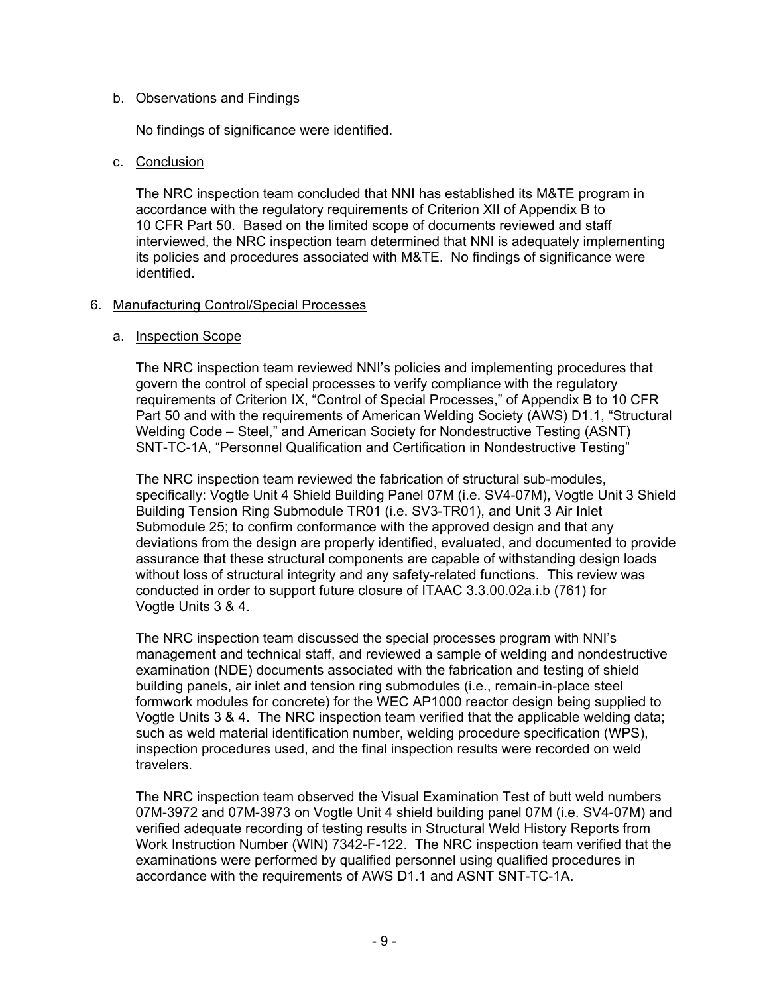### b. Observations and Findings

No findings of significance were identified.

### c. Conclusion

The NRC inspection team concluded that NNI has established its M&TE program in accordance with the regulatory requirements of Criterion XII of Appendix B to 10 CFR Part 50. Based on the limited scope of documents reviewed and staff interviewed, the NRC inspection team determined that NNI is adequately implementing its policies and procedures associated with M&TE. No findings of significance were identified.

#### 6. Manufacturing Control/Special Processes

#### a. Inspection Scope

The NRC inspection team reviewed NNI's policies and implementing procedures that govern the control of special processes to verify compliance with the regulatory requirements of Criterion IX, "Control of Special Processes," of Appendix B to 10 CFR Part 50 and with the requirements of American Welding Society (AWS) D1.1, "Structural Welding Code – Steel," and American Society for Nondestructive Testing (ASNT) SNT-TC-1A, "Personnel Qualification and Certification in Nondestructive Testing"

The NRC inspection team reviewed the fabrication of structural sub-modules, specifically: Vogtle Unit 4 Shield Building Panel 07M (i.e. SV4-07M), Vogtle Unit 3 Shield Building Tension Ring Submodule TR01 (i.e. SV3-TR01), and Unit 3 Air Inlet Submodule 25; to confirm conformance with the approved design and that any deviations from the design are properly identified, evaluated, and documented to provide assurance that these structural components are capable of withstanding design loads without loss of structural integrity and any safety-related functions. This review was conducted in order to support future closure of ITAAC 3.3.00.02a.i.b (761) for Vogtle Units 3 & 4.

The NRC inspection team discussed the special processes program with NNI's management and technical staff, and reviewed a sample of welding and nondestructive examination (NDE) documents associated with the fabrication and testing of shield building panels, air inlet and tension ring submodules (i.e., remain-in-place steel formwork modules for concrete) for the WEC AP1000 reactor design being supplied to Vogtle Units 3 & 4. The NRC inspection team verified that the applicable welding data; such as weld material identification number, welding procedure specification (WPS), inspection procedures used, and the final inspection results were recorded on weld travelers.

The NRC inspection team observed the Visual Examination Test of butt weld numbers 07M-3972 and 07M-3973 on Vogtle Unit 4 shield building panel 07M (i.e. SV4-07M) and verified adequate recording of testing results in Structural Weld History Reports from Work Instruction Number (WIN) 7342-F-122. The NRC inspection team verified that the examinations were performed by qualified personnel using qualified procedures in accordance with the requirements of AWS D1.1 and ASNT SNT-TC-1A.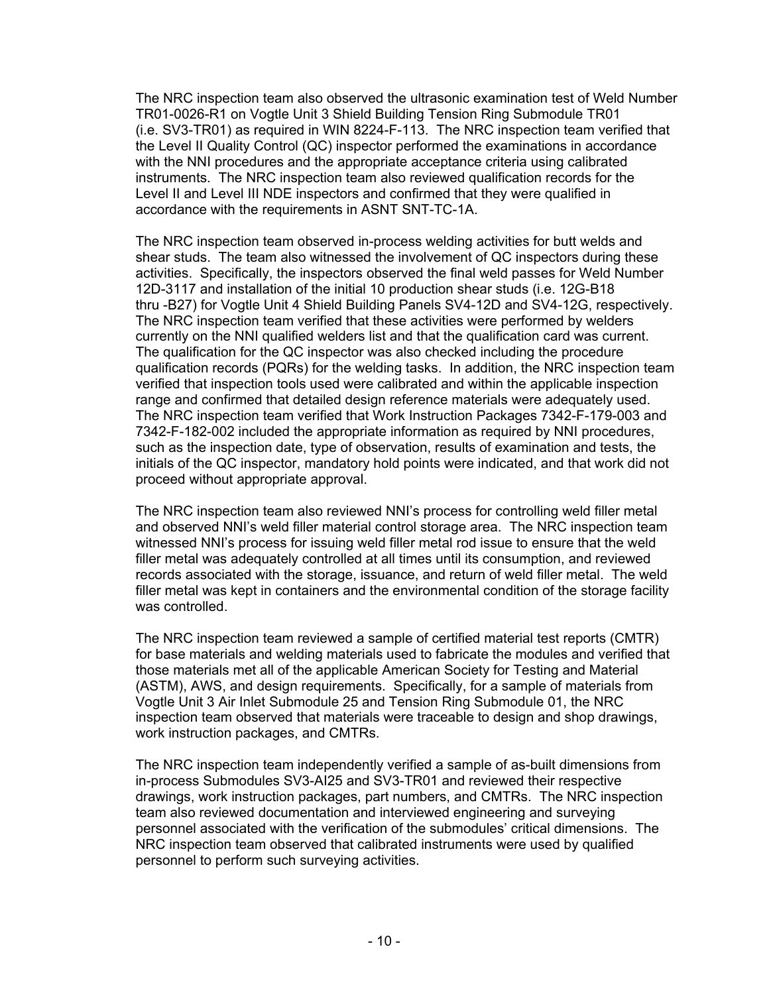The NRC inspection team also observed the ultrasonic examination test of Weld Number TR01-0026-R1 on Vogtle Unit 3 Shield Building Tension Ring Submodule TR01 (i.e. SV3-TR01) as required in WIN 8224-F-113. The NRC inspection team verified that the Level II Quality Control (QC) inspector performed the examinations in accordance with the NNI procedures and the appropriate acceptance criteria using calibrated instruments. The NRC inspection team also reviewed qualification records for the Level II and Level III NDE inspectors and confirmed that they were qualified in accordance with the requirements in ASNT SNT-TC-1A.

The NRC inspection team observed in-process welding activities for butt welds and shear studs. The team also witnessed the involvement of QC inspectors during these activities. Specifically, the inspectors observed the final weld passes for Weld Number 12D-3117 and installation of the initial 10 production shear studs (i.e. 12G-B18 thru -B27) for Vogtle Unit 4 Shield Building Panels SV4-12D and SV4-12G, respectively. The NRC inspection team verified that these activities were performed by welders currently on the NNI qualified welders list and that the qualification card was current. The qualification for the QC inspector was also checked including the procedure qualification records (PQRs) for the welding tasks. In addition, the NRC inspection team verified that inspection tools used were calibrated and within the applicable inspection range and confirmed that detailed design reference materials were adequately used. The NRC inspection team verified that Work Instruction Packages 7342-F-179-003 and 7342-F-182-002 included the appropriate information as required by NNI procedures, such as the inspection date, type of observation, results of examination and tests, the initials of the QC inspector, mandatory hold points were indicated, and that work did not proceed without appropriate approval.

The NRC inspection team also reviewed NNI's process for controlling weld filler metal and observed NNI's weld filler material control storage area. The NRC inspection team witnessed NNI's process for issuing weld filler metal rod issue to ensure that the weld filler metal was adequately controlled at all times until its consumption, and reviewed records associated with the storage, issuance, and return of weld filler metal. The weld filler metal was kept in containers and the environmental condition of the storage facility was controlled.

The NRC inspection team reviewed a sample of certified material test reports (CMTR) for base materials and welding materials used to fabricate the modules and verified that those materials met all of the applicable American Society for Testing and Material (ASTM), AWS, and design requirements. Specifically, for a sample of materials from Vogtle Unit 3 Air Inlet Submodule 25 and Tension Ring Submodule 01, the NRC inspection team observed that materials were traceable to design and shop drawings, work instruction packages, and CMTRs.

The NRC inspection team independently verified a sample of as-built dimensions from in-process Submodules SV3-AI25 and SV3-TR01 and reviewed their respective drawings, work instruction packages, part numbers, and CMTRs. The NRC inspection team also reviewed documentation and interviewed engineering and surveying personnel associated with the verification of the submodules' critical dimensions. The NRC inspection team observed that calibrated instruments were used by qualified personnel to perform such surveying activities.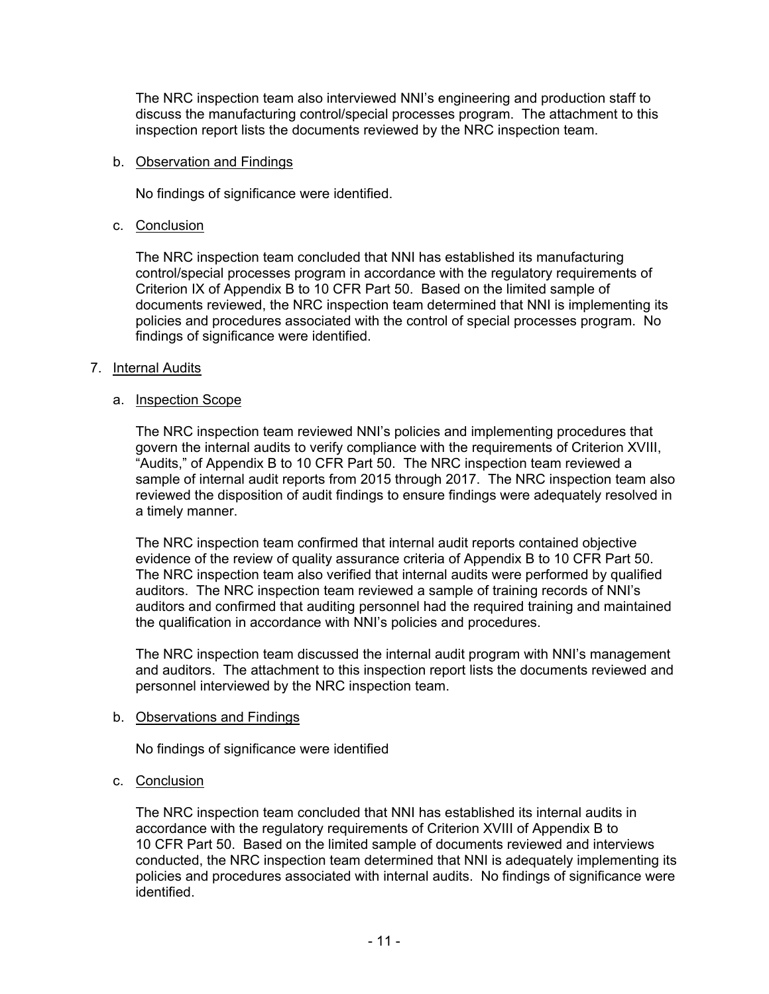The NRC inspection team also interviewed NNI's engineering and production staff to discuss the manufacturing control/special processes program. The attachment to this inspection report lists the documents reviewed by the NRC inspection team.

#### b. Observation and Findings

No findings of significance were identified.

## c. Conclusion

The NRC inspection team concluded that NNI has established its manufacturing control/special processes program in accordance with the regulatory requirements of Criterion IX of Appendix B to 10 CFR Part 50. Based on the limited sample of documents reviewed, the NRC inspection team determined that NNI is implementing its policies and procedures associated with the control of special processes program. No findings of significance were identified.

#### 7. Internal Audits

## a. Inspection Scope

The NRC inspection team reviewed NNI's policies and implementing procedures that govern the internal audits to verify compliance with the requirements of Criterion XVIII, "Audits," of Appendix B to 10 CFR Part 50. The NRC inspection team reviewed a sample of internal audit reports from 2015 through 2017. The NRC inspection team also reviewed the disposition of audit findings to ensure findings were adequately resolved in a timely manner.

The NRC inspection team confirmed that internal audit reports contained objective evidence of the review of quality assurance criteria of Appendix B to 10 CFR Part 50. The NRC inspection team also verified that internal audits were performed by qualified auditors. The NRC inspection team reviewed a sample of training records of NNI's auditors and confirmed that auditing personnel had the required training and maintained the qualification in accordance with NNI's policies and procedures.

The NRC inspection team discussed the internal audit program with NNI's management and auditors. The attachment to this inspection report lists the documents reviewed and personnel interviewed by the NRC inspection team.

#### b. Observations and Findings

No findings of significance were identified

## c. Conclusion

The NRC inspection team concluded that NNI has established its internal audits in accordance with the regulatory requirements of Criterion XVIII of Appendix B to 10 CFR Part 50. Based on the limited sample of documents reviewed and interviews conducted, the NRC inspection team determined that NNI is adequately implementing its policies and procedures associated with internal audits. No findings of significance were identified.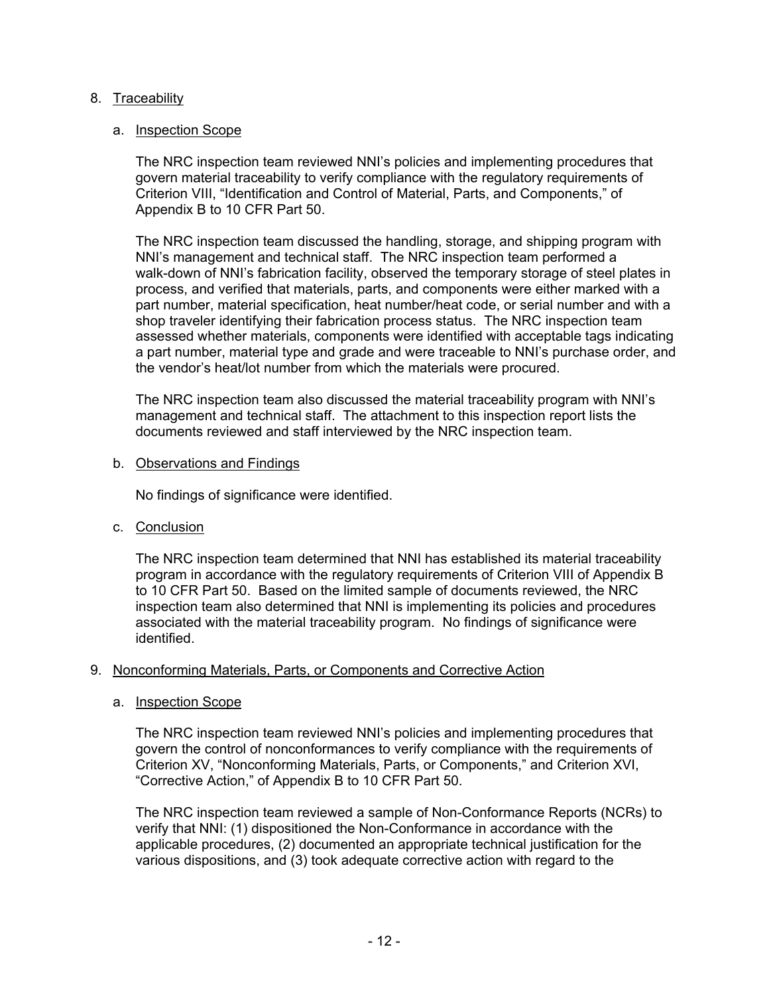## 8. Traceability

### a. Inspection Scope

The NRC inspection team reviewed NNI's policies and implementing procedures that govern material traceability to verify compliance with the regulatory requirements of Criterion VIII, "Identification and Control of Material, Parts, and Components," of Appendix B to 10 CFR Part 50.

The NRC inspection team discussed the handling, storage, and shipping program with NNI's management and technical staff. The NRC inspection team performed a walk-down of NNI's fabrication facility, observed the temporary storage of steel plates in process, and verified that materials, parts, and components were either marked with a part number, material specification, heat number/heat code, or serial number and with a shop traveler identifying their fabrication process status. The NRC inspection team assessed whether materials, components were identified with acceptable tags indicating a part number, material type and grade and were traceable to NNI's purchase order, and the vendor's heat/lot number from which the materials were procured.

The NRC inspection team also discussed the material traceability program with NNI's management and technical staff. The attachment to this inspection report lists the documents reviewed and staff interviewed by the NRC inspection team.

b. Observations and Findings

No findings of significance were identified.

c. Conclusion

The NRC inspection team determined that NNI has established its material traceability program in accordance with the regulatory requirements of Criterion VIII of Appendix B to 10 CFR Part 50. Based on the limited sample of documents reviewed, the NRC inspection team also determined that NNI is implementing its policies and procedures associated with the material traceability program. No findings of significance were identified.

## 9. Nonconforming Materials, Parts, or Components and Corrective Action

a. Inspection Scope

The NRC inspection team reviewed NNI's policies and implementing procedures that govern the control of nonconformances to verify compliance with the requirements of Criterion XV, "Nonconforming Materials, Parts, or Components," and Criterion XVI, "Corrective Action," of Appendix B to 10 CFR Part 50.

The NRC inspection team reviewed a sample of Non-Conformance Reports (NCRs) to verify that NNI: (1) dispositioned the Non-Conformance in accordance with the applicable procedures, (2) documented an appropriate technical justification for the various dispositions, and (3) took adequate corrective action with regard to the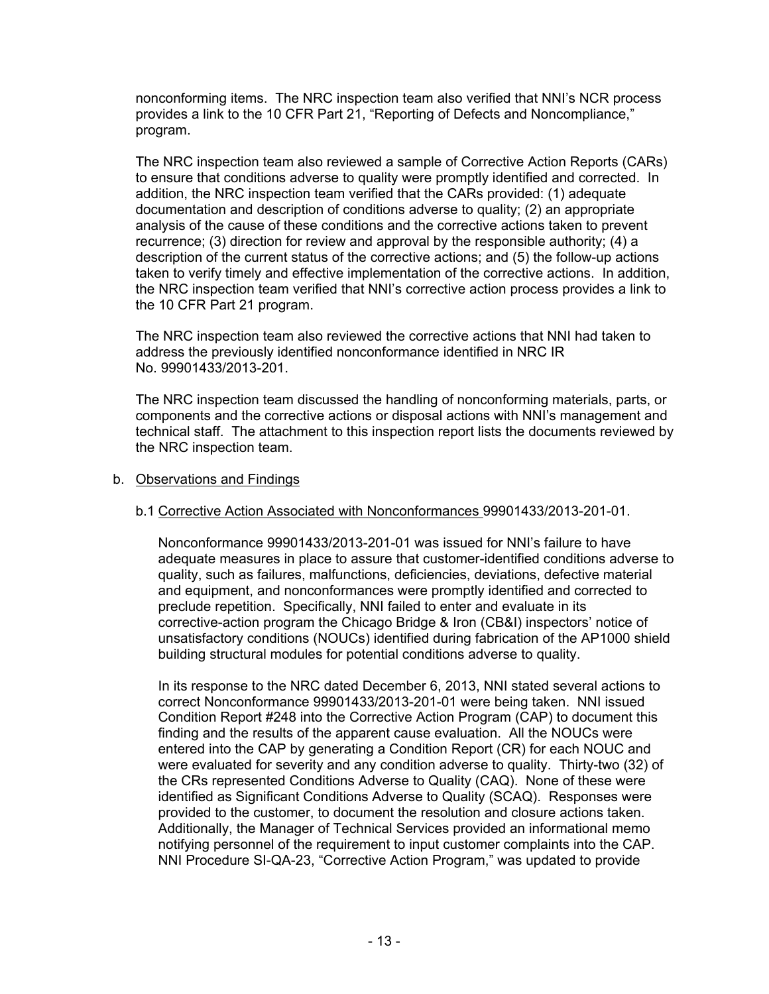nonconforming items. The NRC inspection team also verified that NNI's NCR process provides a link to the 10 CFR Part 21, "Reporting of Defects and Noncompliance," program.

The NRC inspection team also reviewed a sample of Corrective Action Reports (CARs) to ensure that conditions adverse to quality were promptly identified and corrected. In addition, the NRC inspection team verified that the CARs provided: (1) adequate documentation and description of conditions adverse to quality; (2) an appropriate analysis of the cause of these conditions and the corrective actions taken to prevent recurrence; (3) direction for review and approval by the responsible authority; (4) a description of the current status of the corrective actions; and (5) the follow-up actions taken to verify timely and effective implementation of the corrective actions. In addition, the NRC inspection team verified that NNI's corrective action process provides a link to the 10 CFR Part 21 program.

The NRC inspection team also reviewed the corrective actions that NNI had taken to address the previously identified nonconformance identified in NRC IR No. 99901433/2013-201.

The NRC inspection team discussed the handling of nonconforming materials, parts, or components and the corrective actions or disposal actions with NNI's management and technical staff. The attachment to this inspection report lists the documents reviewed by the NRC inspection team.

#### b. Observations and Findings

## b.1 Corrective Action Associated with Nonconformances 99901433/2013-201-01.

Nonconformance 99901433/2013-201-01 was issued for NNI's failure to have adequate measures in place to assure that customer-identified conditions adverse to quality, such as failures, malfunctions, deficiencies, deviations, defective material and equipment, and nonconformances were promptly identified and corrected to preclude repetition. Specifically, NNI failed to enter and evaluate in its corrective-action program the Chicago Bridge & Iron (CB&I) inspectors' notice of unsatisfactory conditions (NOUCs) identified during fabrication of the AP1000 shield building structural modules for potential conditions adverse to quality.

In its response to the NRC dated December 6, 2013, NNI stated several actions to correct Nonconformance 99901433/2013-201-01 were being taken. NNI issued Condition Report #248 into the Corrective Action Program (CAP) to document this finding and the results of the apparent cause evaluation. All the NOUCs were entered into the CAP by generating a Condition Report (CR) for each NOUC and were evaluated for severity and any condition adverse to quality. Thirty-two (32) of the CRs represented Conditions Adverse to Quality (CAQ). None of these were identified as Significant Conditions Adverse to Quality (SCAQ). Responses were provided to the customer, to document the resolution and closure actions taken. Additionally, the Manager of Technical Services provided an informational memo notifying personnel of the requirement to input customer complaints into the CAP. NNI Procedure SI-QA-23, "Corrective Action Program," was updated to provide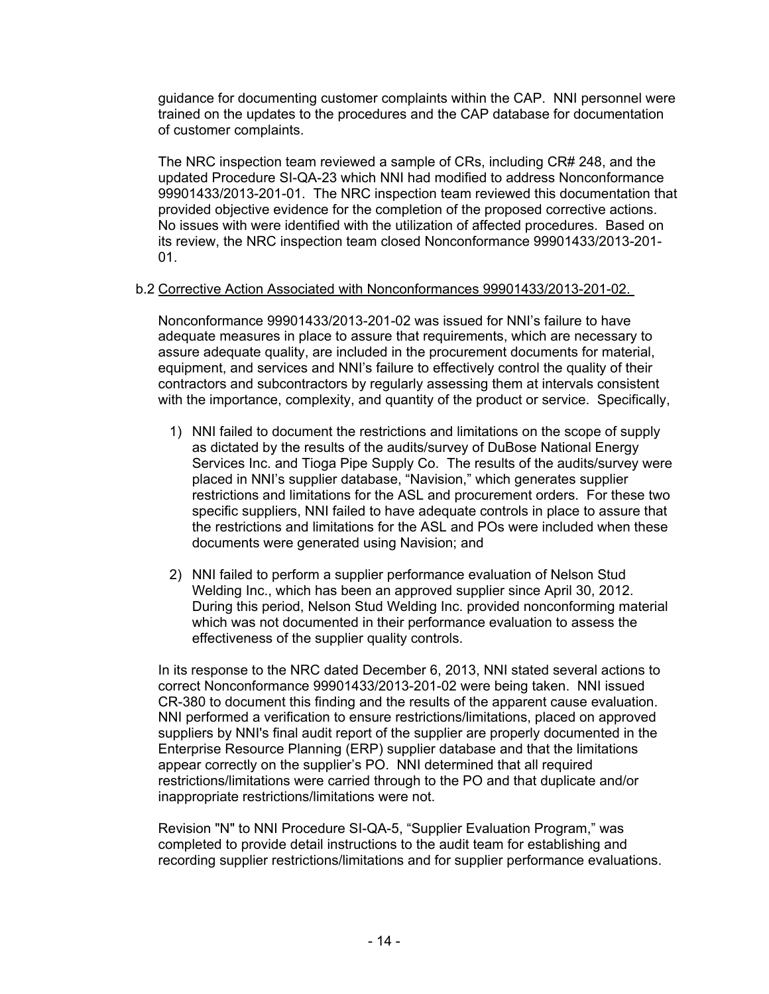guidance for documenting customer complaints within the CAP. NNI personnel were trained on the updates to the procedures and the CAP database for documentation of customer complaints.

The NRC inspection team reviewed a sample of CRs, including CR# 248, and the updated Procedure SI-QA-23 which NNI had modified to address Nonconformance 99901433/2013-201-01. The NRC inspection team reviewed this documentation that provided objective evidence for the completion of the proposed corrective actions. No issues with were identified with the utilization of affected procedures. Based on its review, the NRC inspection team closed Nonconformance 99901433/2013-201- 01.

## b.2 Corrective Action Associated with Nonconformances 99901433/2013-201-02.

Nonconformance 99901433/2013-201-02 was issued for NNI's failure to have adequate measures in place to assure that requirements, which are necessary to assure adequate quality, are included in the procurement documents for material, equipment, and services and NNI's failure to effectively control the quality of their contractors and subcontractors by regularly assessing them at intervals consistent with the importance, complexity, and quantity of the product or service. Specifically,

- 1) NNI failed to document the restrictions and limitations on the scope of supply as dictated by the results of the audits/survey of DuBose National Energy Services Inc. and Tioga Pipe Supply Co. The results of the audits/survey were placed in NNI's supplier database, "Navision," which generates supplier restrictions and limitations for the ASL and procurement orders. For these two specific suppliers, NNI failed to have adequate controls in place to assure that the restrictions and limitations for the ASL and POs were included when these documents were generated using Navision; and
- 2) NNI failed to perform a supplier performance evaluation of Nelson Stud Welding Inc., which has been an approved supplier since April 30, 2012. During this period, Nelson Stud Welding Inc. provided nonconforming material which was not documented in their performance evaluation to assess the effectiveness of the supplier quality controls.

In its response to the NRC dated December 6, 2013, NNI stated several actions to correct Nonconformance 99901433/2013-201-02 were being taken. NNI issued CR-380 to document this finding and the results of the apparent cause evaluation. NNI performed a verification to ensure restrictions/limitations, placed on approved suppliers by NNI's final audit report of the supplier are properly documented in the Enterprise Resource Planning (ERP) supplier database and that the limitations appear correctly on the supplier's PO. NNI determined that all required restrictions/limitations were carried through to the PO and that duplicate and/or inappropriate restrictions/limitations were not.

Revision "N" to NNI Procedure SI-QA-5, "Supplier Evaluation Program," was completed to provide detail instructions to the audit team for establishing and recording supplier restrictions/limitations and for supplier performance evaluations.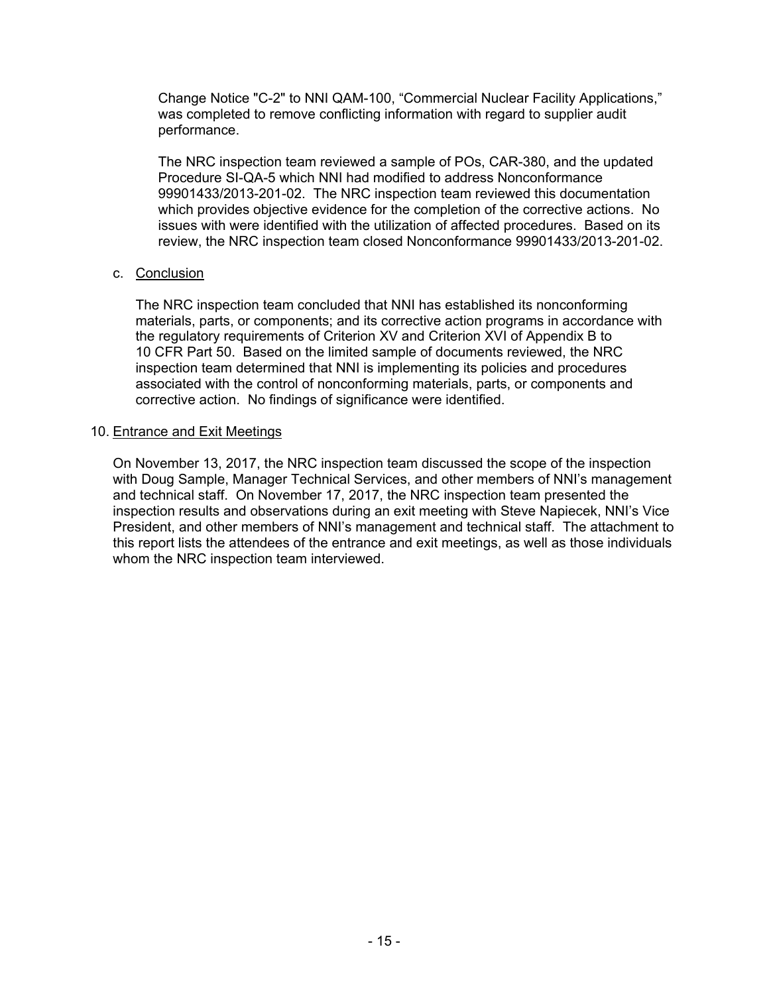Change Notice "C-2" to NNI QAM-100, "Commercial Nuclear Facility Applications," was completed to remove conflicting information with regard to supplier audit performance.

The NRC inspection team reviewed a sample of POs, CAR-380, and the updated Procedure SI-QA-5 which NNI had modified to address Nonconformance 99901433/2013-201-02. The NRC inspection team reviewed this documentation which provides objective evidence for the completion of the corrective actions. No issues with were identified with the utilization of affected procedures. Based on its review, the NRC inspection team closed Nonconformance 99901433/2013-201-02.

## c. Conclusion

The NRC inspection team concluded that NNI has established its nonconforming materials, parts, or components; and its corrective action programs in accordance with the regulatory requirements of Criterion XV and Criterion XVI of Appendix B to 10 CFR Part 50. Based on the limited sample of documents reviewed, the NRC inspection team determined that NNI is implementing its policies and procedures associated with the control of nonconforming materials, parts, or components and corrective action. No findings of significance were identified.

#### 10. Entrance and Exit Meetings

On November 13, 2017, the NRC inspection team discussed the scope of the inspection with Doug Sample, Manager Technical Services, and other members of NNI's management and technical staff. On November 17, 2017, the NRC inspection team presented the inspection results and observations during an exit meeting with Steve Napiecek, NNI's Vice President, and other members of NNI's management and technical staff. The attachment to this report lists the attendees of the entrance and exit meetings, as well as those individuals whom the NRC inspection team interviewed.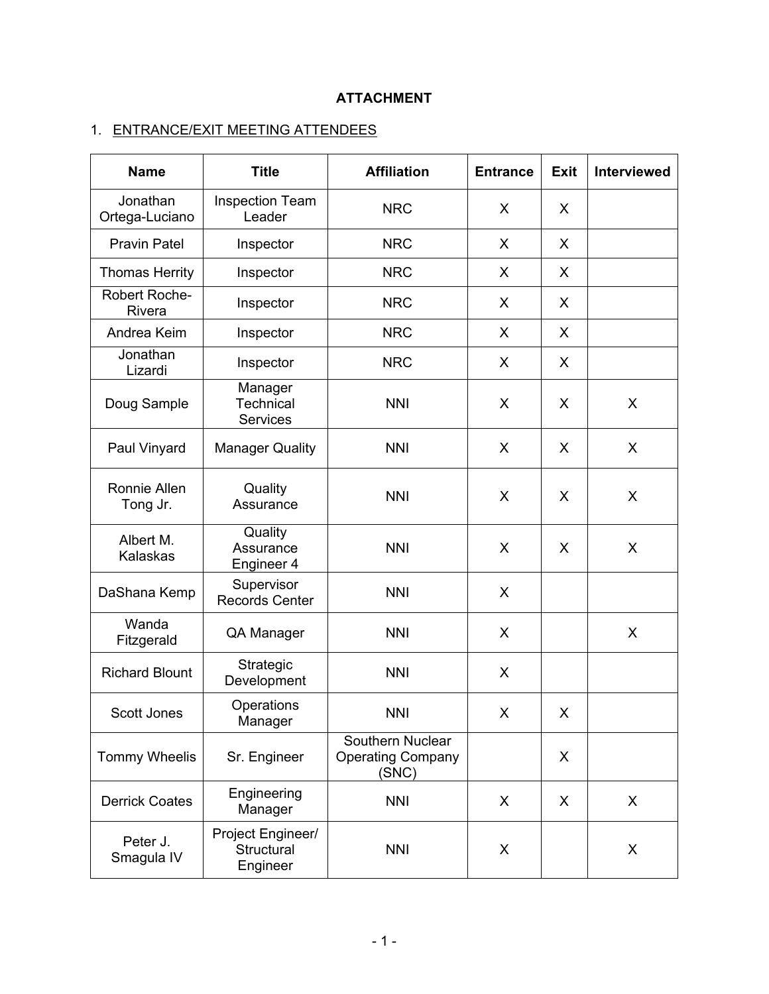# **ATTACHMENT**

# 1. ENTRANCE/EXIT MEETING ATTENDEES

| <b>Name</b>                | <b>Title</b>                                   | <b>Affiliation</b>                                    | <b>Entrance</b> | <b>Exit</b> | <b>Interviewed</b> |
|----------------------------|------------------------------------------------|-------------------------------------------------------|-----------------|-------------|--------------------|
| Jonathan<br>Ortega-Luciano | <b>Inspection Team</b><br>Leader               | <b>NRC</b>                                            | X               | X           |                    |
| <b>Pravin Patel</b>        | Inspector                                      | <b>NRC</b>                                            | X               | X           |                    |
| <b>Thomas Herrity</b>      | Inspector                                      | <b>NRC</b>                                            | X               | X           |                    |
| Robert Roche-<br>Rivera    | Inspector                                      | <b>NRC</b>                                            | X               | X           |                    |
| Andrea Keim                | Inspector                                      | <b>NRC</b>                                            | X               | X           |                    |
| Jonathan<br>Lizardi        | Inspector                                      | <b>NRC</b>                                            | X               | X           |                    |
| Doug Sample                | Manager<br><b>Technical</b><br><b>Services</b> | <b>NNI</b>                                            | X               | X           | X                  |
| Paul Vinyard               | <b>Manager Quality</b>                         | <b>NNI</b>                                            | X               | X           | X                  |
| Ronnie Allen<br>Tong Jr.   | Quality<br>Assurance                           | <b>NNI</b>                                            | X               | X           | X                  |
| Albert M.<br>Kalaskas      | Quality<br>Assurance<br>Engineer 4             | <b>NNI</b>                                            | X               | X           | X                  |
| DaShana Kemp               | Supervisor<br><b>Records Center</b>            | <b>NNI</b>                                            | X               |             |                    |
| Wanda<br>Fitzgerald        | QA Manager                                     | <b>NNI</b>                                            | X               |             | X                  |
| <b>Richard Blount</b>      | Strategic<br>Development                       | <b>NNI</b>                                            | X               |             |                    |
| Scott Jones                | Operations<br>Manager                          | <b>NNI</b>                                            | X               | X           |                    |
| <b>Tommy Wheelis</b>       | Sr. Engineer                                   | Southern Nuclear<br><b>Operating Company</b><br>(SNC) |                 | X           |                    |
| <b>Derrick Coates</b>      | Engineering<br>Manager                         | <b>NNI</b>                                            | X               | X           | X                  |
| Peter J.<br>Smagula IV     | Project Engineer/<br>Structural<br>Engineer    | <b>NNI</b>                                            | X               |             | X                  |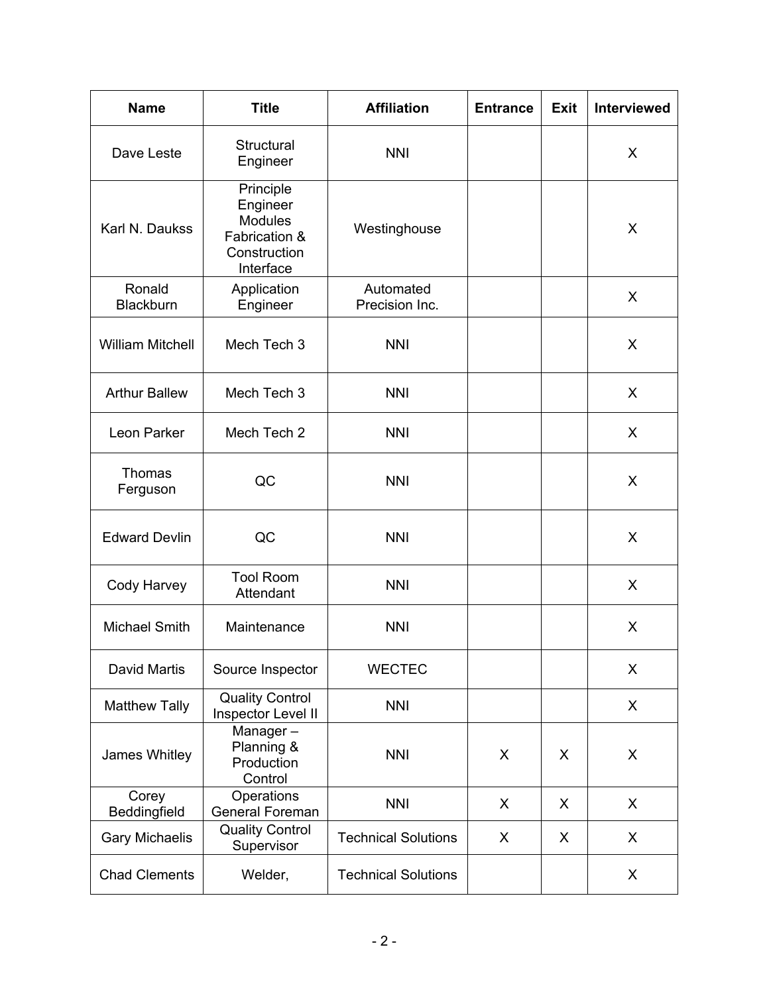| <b>Name</b>             | <b>Title</b>                                                                          | <b>Affiliation</b>          | <b>Entrance</b> | <b>Exit</b> | <b>Interviewed</b> |
|-------------------------|---------------------------------------------------------------------------------------|-----------------------------|-----------------|-------------|--------------------|
| Dave Leste              | Structural<br>Engineer                                                                | <b>NNI</b>                  |                 |             | X                  |
| Karl N. Daukss          | Principle<br>Engineer<br><b>Modules</b><br>Fabrication &<br>Construction<br>Interface | Westinghouse                |                 |             | X                  |
| Ronald<br>Blackburn     | Application<br>Engineer                                                               | Automated<br>Precision Inc. |                 |             | X                  |
| <b>William Mitchell</b> | Mech Tech 3                                                                           | <b>NNI</b>                  |                 |             | X                  |
| <b>Arthur Ballew</b>    | Mech Tech 3                                                                           | <b>NNI</b>                  |                 |             | X                  |
| Leon Parker             | Mech Tech 2                                                                           | <b>NNI</b>                  |                 |             | X                  |
| Thomas<br>Ferguson      | QC                                                                                    | <b>NNI</b>                  |                 |             | X                  |
| <b>Edward Devlin</b>    | QC                                                                                    | <b>NNI</b>                  |                 |             | X                  |
| Cody Harvey             | <b>Tool Room</b><br>Attendant                                                         | <b>NNI</b>                  |                 |             | X                  |
| <b>Michael Smith</b>    | Maintenance                                                                           | <b>NNI</b>                  |                 |             | X                  |
| David Martis            | Source Inspector                                                                      | <b>WECTEC</b>               |                 |             | X                  |
| <b>Matthew Tally</b>    | <b>Quality Control</b><br>Inspector Level II                                          | <b>NNI</b>                  |                 |             | X                  |
| James Whitley           | Manager-<br>Planning &<br>Production<br>Control                                       | <b>NNI</b>                  | X               | X           | X                  |
| Corey<br>Beddingfield   | Operations<br>General Foreman                                                         | <b>NNI</b>                  | X               | X           | X                  |
| <b>Gary Michaelis</b>   | <b>Quality Control</b><br>Supervisor                                                  | <b>Technical Solutions</b>  | X               | X           | X                  |
| <b>Chad Clements</b>    | Welder,                                                                               | <b>Technical Solutions</b>  |                 |             | X                  |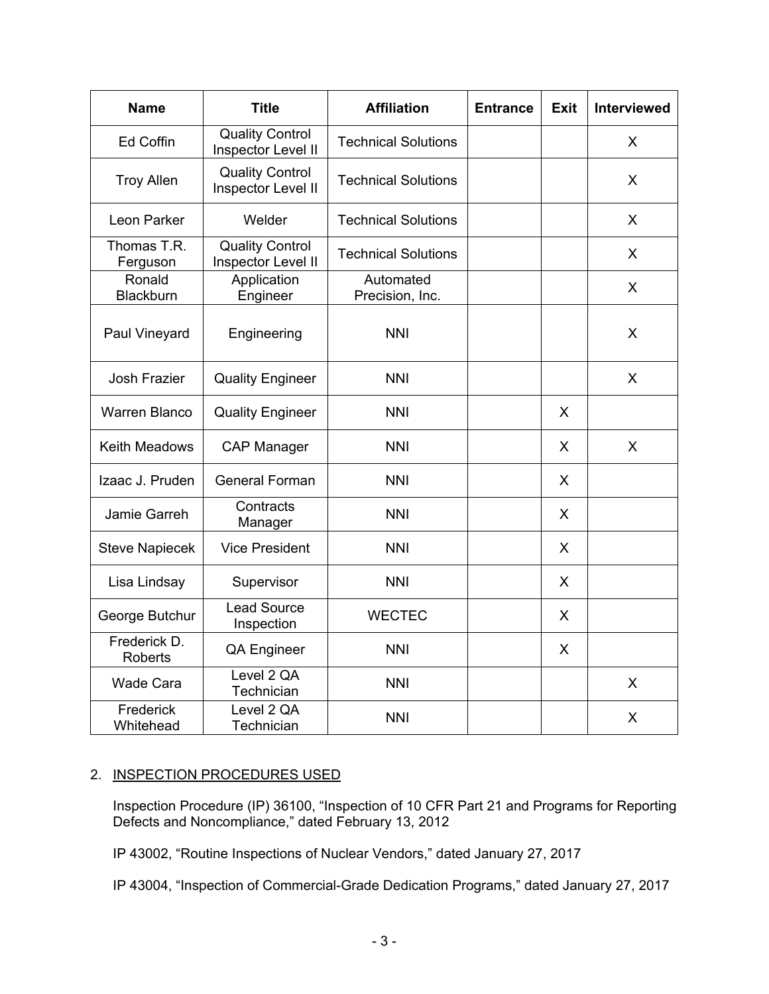| <b>Name</b>             | <b>Title</b>                                 | <b>Affiliation</b>           | <b>Entrance</b> | <b>Exit</b> | <b>Interviewed</b> |
|-------------------------|----------------------------------------------|------------------------------|-----------------|-------------|--------------------|
| Ed Coffin               | <b>Quality Control</b><br>Inspector Level II | <b>Technical Solutions</b>   |                 |             | X                  |
| <b>Troy Allen</b>       | <b>Quality Control</b><br>Inspector Level II | <b>Technical Solutions</b>   |                 |             | X                  |
| Leon Parker             | Welder                                       | <b>Technical Solutions</b>   |                 |             | X                  |
| Thomas T.R.<br>Ferguson | <b>Quality Control</b><br>Inspector Level II | <b>Technical Solutions</b>   |                 |             | X                  |
| Ronald<br>Blackburn     | Application<br>Engineer                      | Automated<br>Precision, Inc. |                 |             | X                  |
| Paul Vineyard           | Engineering                                  | <b>NNI</b>                   |                 |             | X                  |
| Josh Frazier            | <b>Quality Engineer</b>                      | <b>NNI</b>                   |                 |             | X                  |
| <b>Warren Blanco</b>    | <b>Quality Engineer</b>                      | <b>NNI</b>                   |                 | X           |                    |
| Keith Meadows           | <b>CAP Manager</b>                           | <b>NNI</b>                   |                 | X           | X                  |
| Izaac J. Pruden         | <b>General Forman</b>                        | <b>NNI</b>                   |                 | X           |                    |
| Jamie Garreh            | Contracts<br>Manager                         | <b>NNI</b>                   |                 | X           |                    |
| <b>Steve Napiecek</b>   | <b>Vice President</b>                        | <b>NNI</b>                   |                 | X           |                    |
| Lisa Lindsay            | Supervisor                                   | <b>NNI</b>                   |                 | X           |                    |
| George Butchur          | <b>Lead Source</b><br>Inspection             | <b>WECTEC</b>                |                 | X           |                    |
| Frederick D.<br>Roberts | QA Engineer                                  | <b>NNI</b>                   |                 | X           |                    |
| <b>Wade Cara</b>        | Level 2 QA<br>Technician                     | <b>NNI</b>                   |                 |             | X                  |
| Frederick<br>Whitehead  | Level 2 QA<br>Technician                     | <b>NNI</b>                   |                 |             | X                  |

## 2. INSPECTION PROCEDURES USED

Inspection Procedure (IP) 36100, "Inspection of 10 CFR Part 21 and Programs for Reporting Defects and Noncompliance," dated February 13, 2012

IP 43002, "Routine Inspections of Nuclear Vendors," dated January 27, 2017

IP 43004, "Inspection of Commercial-Grade Dedication Programs," dated January 27, 2017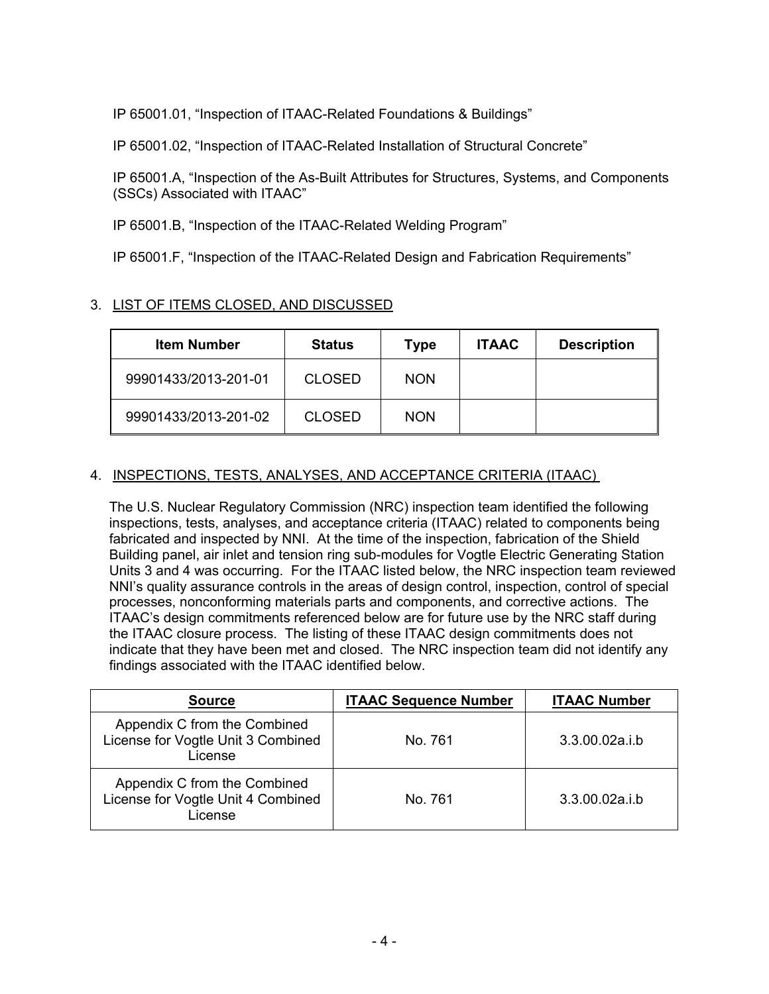IP 65001.01, "Inspection of ITAAC-Related Foundations & Buildings"

IP 65001.02, "Inspection of ITAAC-Related Installation of Structural Concrete"

IP 65001.A, "Inspection of the As-Built Attributes for Structures, Systems, and Components (SSCs) Associated with ITAAC"

IP 65001.B, "Inspection of the ITAAC-Related Welding Program"

IP 65001.F, "Inspection of the ITAAC-Related Design and Fabrication Requirements"

## 3. LIST OF ITEMS CLOSED, AND DISCUSSED

| <b>Item Number</b>   | <b>Status</b> | Type       | <b>ITAAC</b> | <b>Description</b> |
|----------------------|---------------|------------|--------------|--------------------|
| 99901433/2013-201-01 | <b>CLOSED</b> | <b>NON</b> |              |                    |
| 99901433/2013-201-02 | <b>CLOSED</b> | <b>NON</b> |              |                    |

## 4. INSPECTIONS, TESTS, ANALYSES, AND ACCEPTANCE CRITERIA (ITAAC)

The U.S. Nuclear Regulatory Commission (NRC) inspection team identified the following inspections, tests, analyses, and acceptance criteria (ITAAC) related to components being fabricated and inspected by NNI. At the time of the inspection, fabrication of the Shield Building panel, air inlet and tension ring sub-modules for Vogtle Electric Generating Station Units 3 and 4 was occurring. For the ITAAC listed below, the NRC inspection team reviewed NNI's quality assurance controls in the areas of design control, inspection, control of special processes, nonconforming materials parts and components, and corrective actions. The ITAAC's design commitments referenced below are for future use by the NRC staff during the ITAAC closure process. The listing of these ITAAC design commitments does not indicate that they have been met and closed. The NRC inspection team did not identify any findings associated with the ITAAC identified below.

| <b>Source</b>                                                                 | <b>ITAAC Sequence Number</b> | <b>ITAAC Number</b> |
|-------------------------------------------------------------------------------|------------------------------|---------------------|
| Appendix C from the Combined<br>License for Vogtle Unit 3 Combined<br>License | No. 761                      | $3.3.00.02a$ .i.b   |
| Appendix C from the Combined<br>License for Vogtle Unit 4 Combined<br>License | No. 761                      | 3.3.00.02a.i.b      |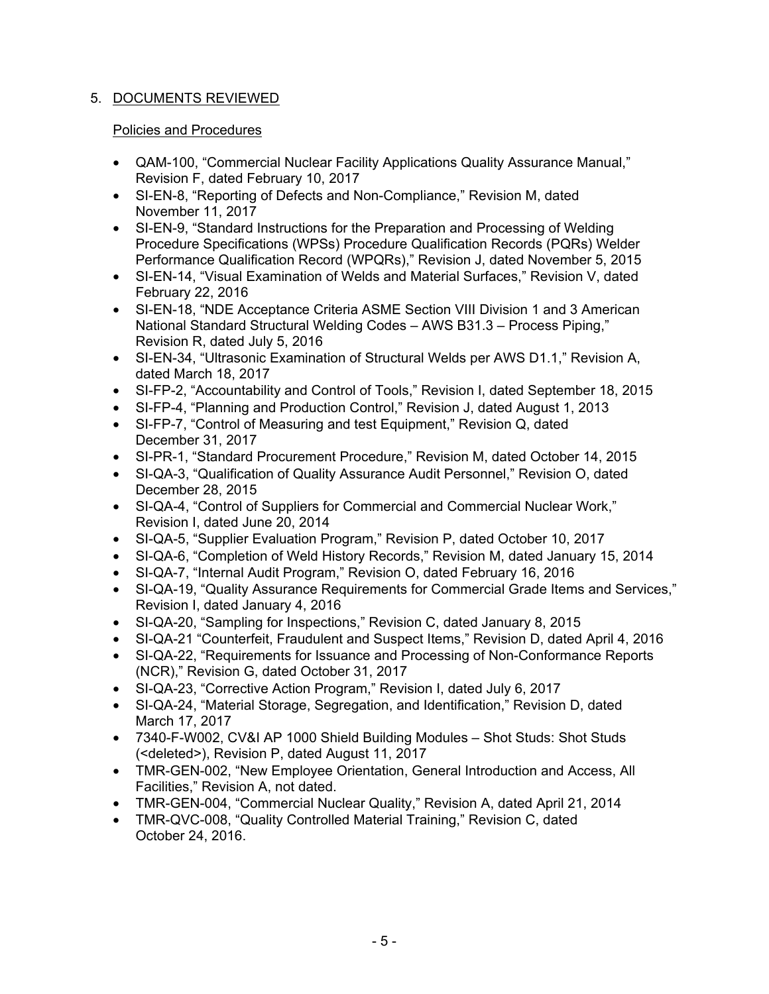## 5. DOCUMENTS REVIEWED

## Policies and Procedures

- QAM-100, "Commercial Nuclear Facility Applications Quality Assurance Manual," Revision F, dated February 10, 2017
- SI-EN-8, "Reporting of Defects and Non-Compliance," Revision M, dated November 11, 2017
- SI-EN-9, "Standard Instructions for the Preparation and Processing of Welding Procedure Specifications (WPSs) Procedure Qualification Records (PQRs) Welder Performance Qualification Record (WPQRs)," Revision J, dated November 5, 2015
- SI-EN-14, "Visual Examination of Welds and Material Surfaces," Revision V, dated February 22, 2016
- SI-EN-18, "NDE Acceptance Criteria ASME Section VIII Division 1 and 3 American National Standard Structural Welding Codes – AWS B31.3 – Process Piping," Revision R, dated July 5, 2016
- SI-EN-34, "Ultrasonic Examination of Structural Welds per AWS D1.1," Revision A, dated March 18, 2017
- SI-FP-2, "Accountability and Control of Tools," Revision I, dated September 18, 2015
- SI-FP-4, "Planning and Production Control," Revision J, dated August 1, 2013
- SI-FP-7, "Control of Measuring and test Equipment," Revision Q, dated December 31, 2017
- SI-PR-1, "Standard Procurement Procedure," Revision M, dated October 14, 2015
- SI-QA-3, "Qualification of Quality Assurance Audit Personnel," Revision O, dated December 28, 2015
- SI-QA-4, "Control of Suppliers for Commercial and Commercial Nuclear Work," Revision I, dated June 20, 2014
- SI-QA-5, "Supplier Evaluation Program," Revision P, dated October 10, 2017
- SI-QA-6, "Completion of Weld History Records," Revision M, dated January 15, 2014
- SI-QA-7, "Internal Audit Program," Revision O, dated February 16, 2016
- SI-QA-19, "Quality Assurance Requirements for Commercial Grade Items and Services," Revision I, dated January 4, 2016
- SI-QA-20, "Sampling for Inspections," Revision C, dated January 8, 2015
- SI-QA-21 "Counterfeit, Fraudulent and Suspect Items," Revision D, dated April 4, 2016
- SI-QA-22, "Requirements for Issuance and Processing of Non-Conformance Reports (NCR)," Revision G, dated October 31, 2017
- SI-QA-23, "Corrective Action Program," Revision I, dated July 6, 2017
- SI-QA-24, "Material Storage, Segregation, and Identification," Revision D, dated March 17, 2017
- 7340-F-W002, CV&I AP 1000 Shield Building Modules Shot Studs: Shot Studs (<deleted>), Revision P, dated August 11, 2017
- TMR-GEN-002, "New Employee Orientation, General Introduction and Access, All Facilities," Revision A, not dated.
- TMR-GEN-004, "Commercial Nuclear Quality," Revision A, dated April 21, 2014
- TMR-QVC-008, "Quality Controlled Material Training," Revision C, dated October 24, 2016.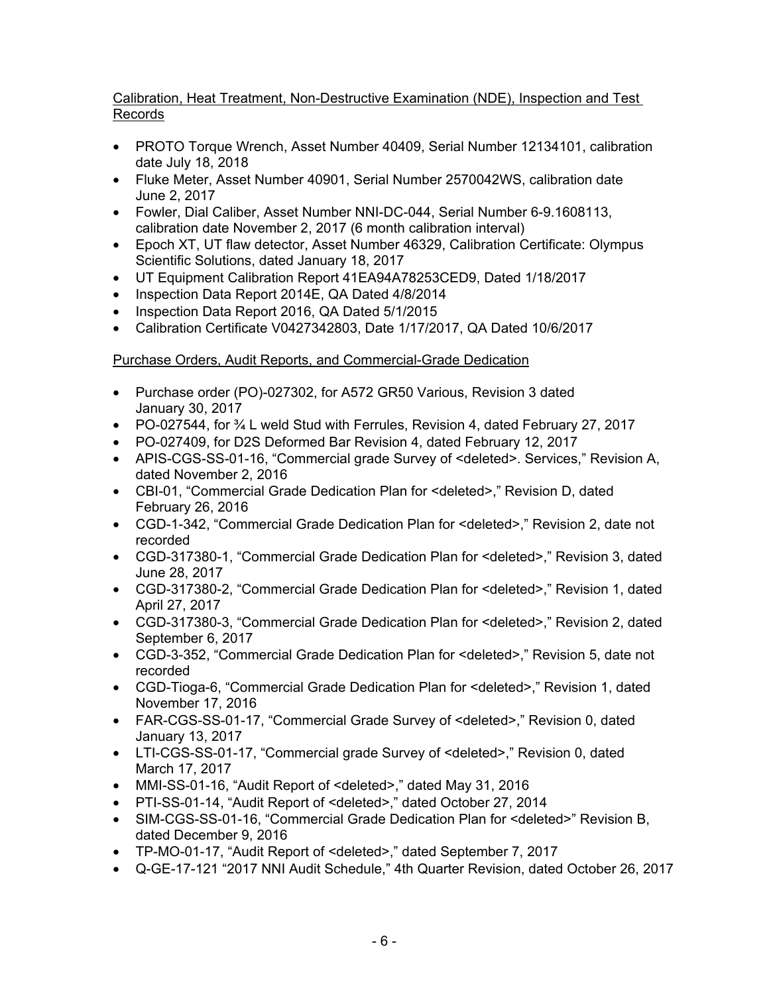## Calibration, Heat Treatment, Non-Destructive Examination (NDE), Inspection and Test Records

- PROTO Torque Wrench, Asset Number 40409, Serial Number 12134101, calibration date July 18, 2018
- Fluke Meter, Asset Number 40901, Serial Number 2570042WS, calibration date June 2, 2017
- Fowler, Dial Caliber, Asset Number NNI-DC-044, Serial Number 6-9.1608113, calibration date November 2, 2017 (6 month calibration interval)
- Epoch XT, UT flaw detector, Asset Number 46329, Calibration Certificate: Olympus Scientific Solutions, dated January 18, 2017
- UT Equipment Calibration Report 41EA94A78253CED9, Dated 1/18/2017
- Inspection Data Report 2014E, QA Dated 4/8/2014
- Inspection Data Report 2016, QA Dated 5/1/2015
- Calibration Certificate V0427342803, Date 1/17/2017, QA Dated 10/6/2017

## Purchase Orders, Audit Reports, and Commercial-Grade Dedication

- Purchase order (PO)-027302, for A572 GR50 Various, Revision 3 dated January 30, 2017
- PO-027544, for  $\frac{3}{4}$  L weld Stud with Ferrules, Revision 4, dated February 27, 2017
- PO-027409, for D2S Deformed Bar Revision 4, dated February 12, 2017
- APIS-CGS-SS-01-16, "Commercial grade Survey of <deleted>. Services," Revision A, dated November 2, 2016
- CBI-01, "Commercial Grade Dedication Plan for <deleted>," Revision D, dated February 26, 2016
- CGD-1-342, "Commercial Grade Dedication Plan for <deleted>," Revision 2, date not recorded
- CGD-317380-1, "Commercial Grade Dedication Plan for <deleted>," Revision 3, dated June 28, 2017
- CGD-317380-2, "Commercial Grade Dedication Plan for <deleted>," Revision 1, dated April 27, 2017
- CGD-317380-3, "Commercial Grade Dedication Plan for <deleted>," Revision 2, dated September 6, 2017
- CGD-3-352, "Commercial Grade Dedication Plan for <deleted>," Revision 5, date not recorded
- CGD-Tioga-6, "Commercial Grade Dedication Plan for <deleted>," Revision 1, dated November 17, 2016
- FAR-CGS-SS-01-17, "Commercial Grade Survey of <deleted>," Revision 0, dated January 13, 2017
- LTI-CGS-SS-01-17, "Commercial grade Survey of <deleted>," Revision 0, dated March 17, 2017
- MMI-SS-01-16, "Audit Report of <deleted>," dated May 31, 2016
- PTI-SS-01-14, "Audit Report of <deleted>," dated October 27, 2014
- SIM-CGS-SS-01-16, "Commercial Grade Dedication Plan for <deleted>" Revision B, dated December 9, 2016
- TP-MO-01-17, "Audit Report of <deleted>," dated September 7, 2017
- Q-GE-17-121 "2017 NNI Audit Schedule," 4th Quarter Revision, dated October 26, 2017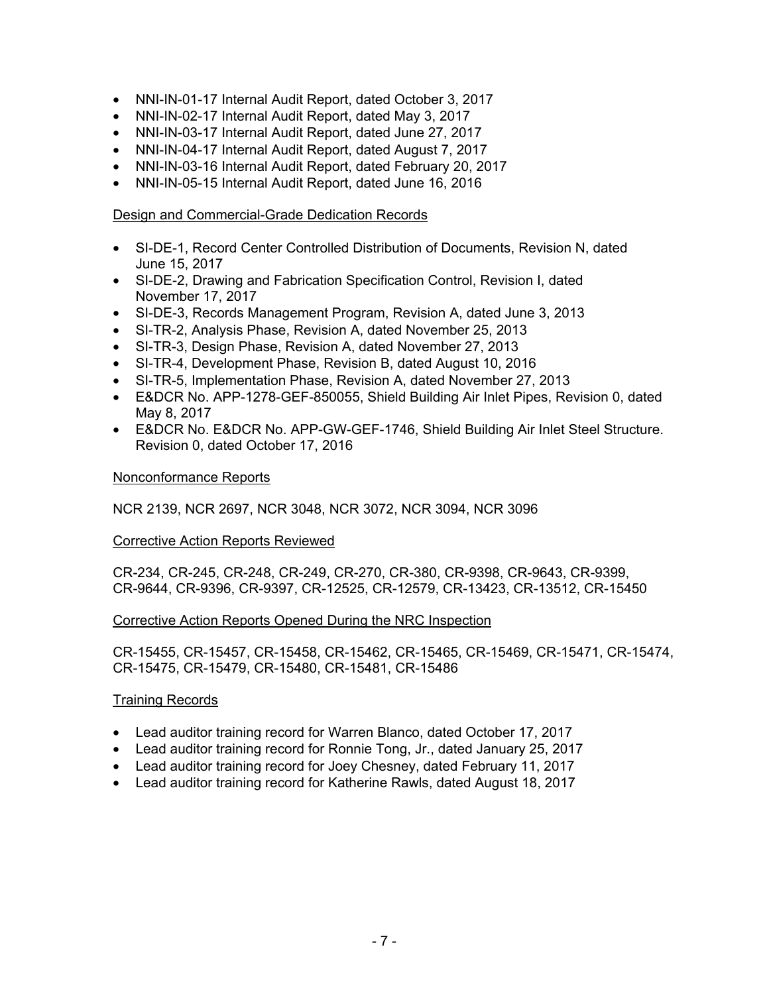- NNI-IN-01-17 Internal Audit Report, dated October 3, 2017
- NNI-IN-02-17 Internal Audit Report, dated May 3, 2017
- NNI-IN-03-17 Internal Audit Report, dated June 27, 2017
- NNI-IN-04-17 Internal Audit Report, dated August 7, 2017
- NNI-IN-03-16 Internal Audit Report, dated February 20, 2017
- NNI-IN-05-15 Internal Audit Report, dated June 16, 2016

#### Design and Commercial-Grade Dedication Records

- SI-DE-1, Record Center Controlled Distribution of Documents, Revision N, dated June 15, 2017
- SI-DE-2, Drawing and Fabrication Specification Control, Revision I, dated November 17, 2017
- SI-DE-3, Records Management Program, Revision A, dated June 3, 2013
- SI-TR-2, Analysis Phase, Revision A, dated November 25, 2013
- SI-TR-3, Design Phase, Revision A, dated November 27, 2013
- SI-TR-4, Development Phase, Revision B, dated August 10, 2016
- SI-TR-5, Implementation Phase, Revision A, dated November 27, 2013
- E&DCR No. APP-1278-GEF-850055, Shield Building Air Inlet Pipes, Revision 0, dated May 8, 2017
- E&DCR No. E&DCR No. APP-GW-GEF-1746, Shield Building Air Inlet Steel Structure. Revision 0, dated October 17, 2016

#### Nonconformance Reports

## NCR 2139, NCR 2697, NCR 3048, NCR 3072, NCR 3094, NCR 3096

#### Corrective Action Reports Reviewed

CR-234, CR-245, CR-248, CR-249, CR-270, CR-380, CR-9398, CR-9643, CR-9399, CR-9644, CR-9396, CR-9397, CR-12525, CR-12579, CR-13423, CR-13512, CR-15450

## Corrective Action Reports Opened During the NRC Inspection

CR-15455, CR-15457, CR-15458, CR-15462, CR-15465, CR-15469, CR-15471, CR-15474, CR-15475, CR-15479, CR-15480, CR-15481, CR-15486

## Training Records

- Lead auditor training record for Warren Blanco, dated October 17, 2017
- Lead auditor training record for Ronnie Tong, Jr., dated January 25, 2017
- Lead auditor training record for Joey Chesney, dated February 11, 2017
- Lead auditor training record for Katherine Rawls, dated August 18, 2017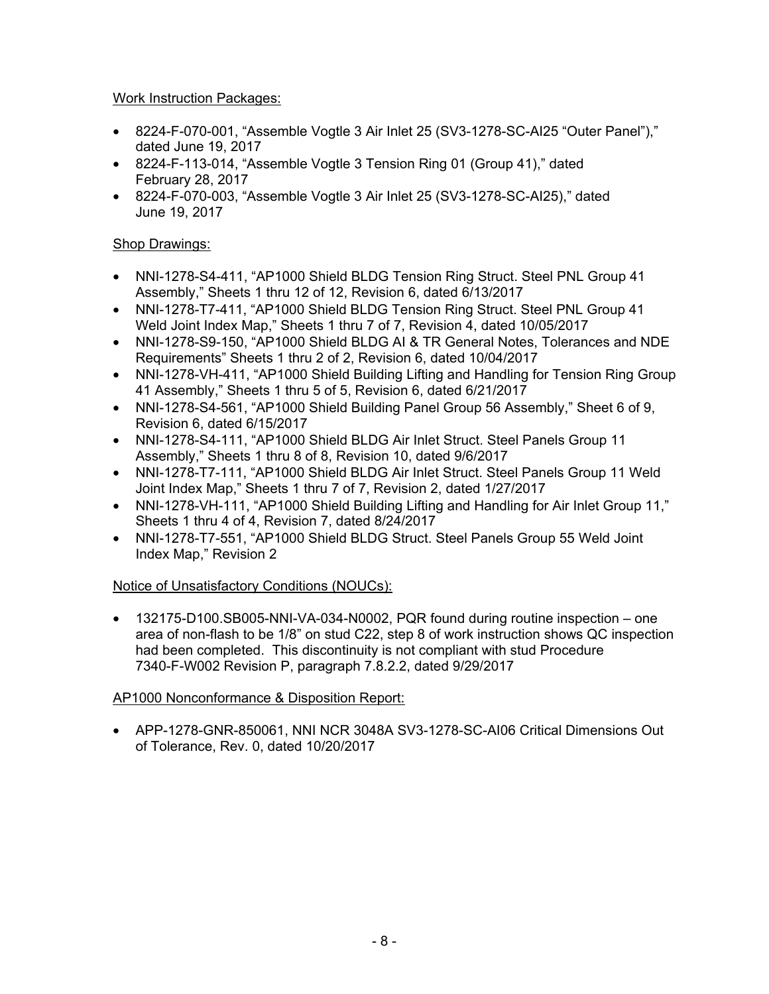## Work Instruction Packages:

- 8224-F-070-001, "Assemble Vogtle 3 Air Inlet 25 (SV3-1278-SC-AI25 "Outer Panel")," dated June 19, 2017
- 8224-F-113-014, "Assemble Vogtle 3 Tension Ring 01 (Group 41)," dated February 28, 2017
- 8224-F-070-003, "Assemble Vogtle 3 Air Inlet 25 (SV3-1278-SC-AI25)," dated June 19, 2017

## Shop Drawings:

- NNI-1278-S4-411, "AP1000 Shield BLDG Tension Ring Struct. Steel PNL Group 41 Assembly," Sheets 1 thru 12 of 12, Revision 6, dated 6/13/2017
- NNI-1278-T7-411, "AP1000 Shield BLDG Tension Ring Struct. Steel PNL Group 41 Weld Joint Index Map," Sheets 1 thru 7 of 7, Revision 4, dated 10/05/2017
- NNI-1278-S9-150, "AP1000 Shield BLDG AI & TR General Notes, Tolerances and NDE Requirements" Sheets 1 thru 2 of 2, Revision 6, dated 10/04/2017
- NNI-1278-VH-411, "AP1000 Shield Building Lifting and Handling for Tension Ring Group 41 Assembly," Sheets 1 thru 5 of 5, Revision 6, dated 6/21/2017
- NNI-1278-S4-561, "AP1000 Shield Building Panel Group 56 Assembly," Sheet 6 of 9, Revision 6, dated 6/15/2017
- NNI-1278-S4-111, "AP1000 Shield BLDG Air Inlet Struct. Steel Panels Group 11 Assembly," Sheets 1 thru 8 of 8, Revision 10, dated 9/6/2017
- NNI-1278-T7-111, "AP1000 Shield BLDG Air Inlet Struct. Steel Panels Group 11 Weld Joint Index Map," Sheets 1 thru 7 of 7, Revision 2, dated 1/27/2017
- NNI-1278-VH-111, "AP1000 Shield Building Lifting and Handling for Air Inlet Group 11," Sheets 1 thru 4 of 4, Revision 7, dated 8/24/2017
- NNI-1278-T7-551, "AP1000 Shield BLDG Struct. Steel Panels Group 55 Weld Joint Index Map," Revision 2

# Notice of Unsatisfactory Conditions (NOUCs):

• 132175-D100.SB005-NNI-VA-034-N0002, PQR found during routine inspection – one area of non-flash to be 1/8" on stud C22, step 8 of work instruction shows QC inspection had been completed. This discontinuity is not compliant with stud Procedure 7340-F-W002 Revision P, paragraph 7.8.2.2, dated 9/29/2017

# AP1000 Nonconformance & Disposition Report:

• APP-1278-GNR-850061, NNI NCR 3048A SV3-1278-SC-AI06 Critical Dimensions Out of Tolerance, Rev. 0, dated 10/20/2017